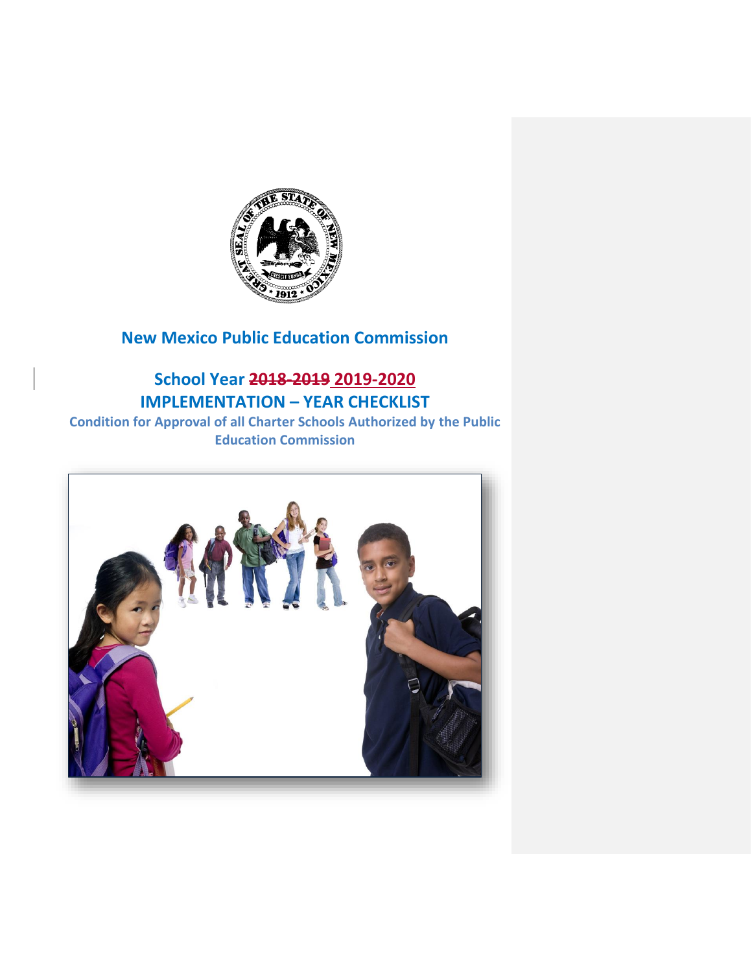

### **New Mexico Public Education Commission**

### **School Year 2018-2019 2019-2020 IMPLEMENTATION – YEAR CHECKLIST**

**Condition for Approval of all Charter Schools Authorized by the Public Education Commission**

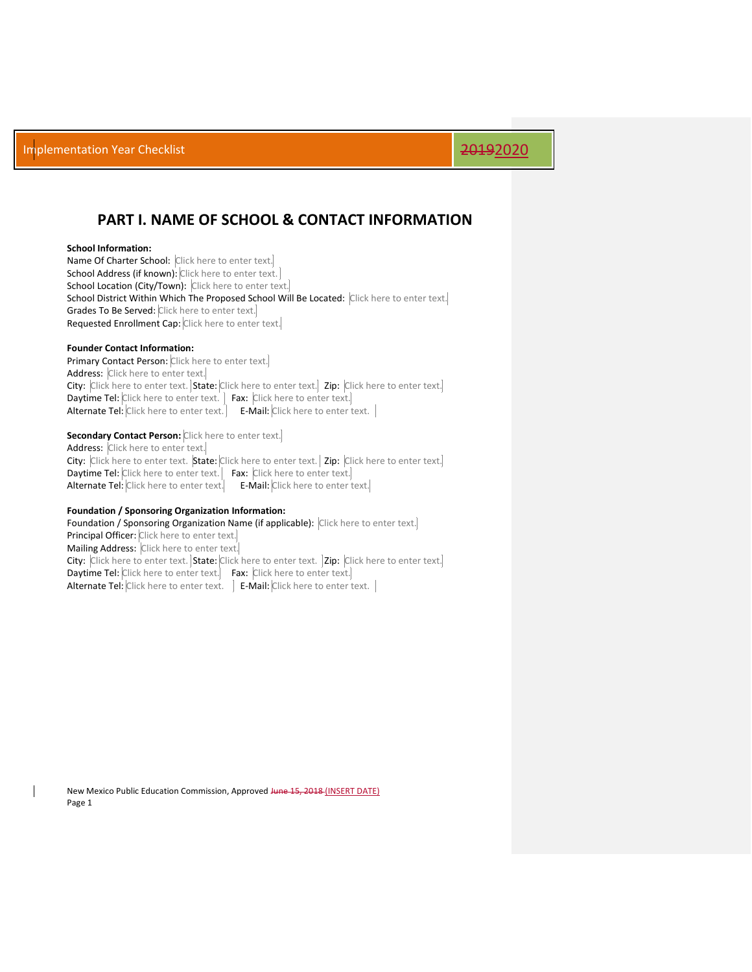### **PART I. NAME OF SCHOOL & CONTACT INFORMATION**

### **School Information:**

Name Of Charter School: Click here to enter text. School Address (if known): Click here to enter text. School Location (City/Town): Click here to enter text. School District Within Which The Proposed School Will Be Located: Click here to enter text. Grades To Be Served: Click here to enter text. Requested Enrollment Cap: Click here to enter text.

### **Founder Contact Information:**

Primary Contact Person: Click here to enter text. Address: Click here to enter text. City: Click here to enter text. State: Click here to enter text. Zip: Click here to enter text. **Daytime Tel:** Click here to enter text.  $\overline{\phantom{a}}$  Fax: Click here to enter text. Alternate Tel: Click here to enter text. E-Mail: Click here to enter text. |

### **Secondary Contact Person:** Click here to enter text.

Address: Click here to enter text. City: Click here to enter text. State: Click here to enter text. Zip: Click here to enter text. Daytime Tel: Click here to enter text. Fax: Click here to enter text. Alternate Tel: Click here to enter text. E-Mail: Click here to enter text.

### **Foundation / Sponsoring Organization Information:**

Foundation / Sponsoring Organization Name (if applicable): Click here to enter text. Principal Officer: Click here to enter text. Mailing Address: Click here to enter text. City: Click here to enter text. State: Click here to enter text. | Zip: Click here to enter text. Daytime Tel: Click here to enter text. Fax: Click here to enter text. Alternate Tel: Click here to enter text. | E-Mail: Click here to enter text. |

New Mexico Public Education Commission, Approved June 15, 2018 (INSERT DATE) Page 1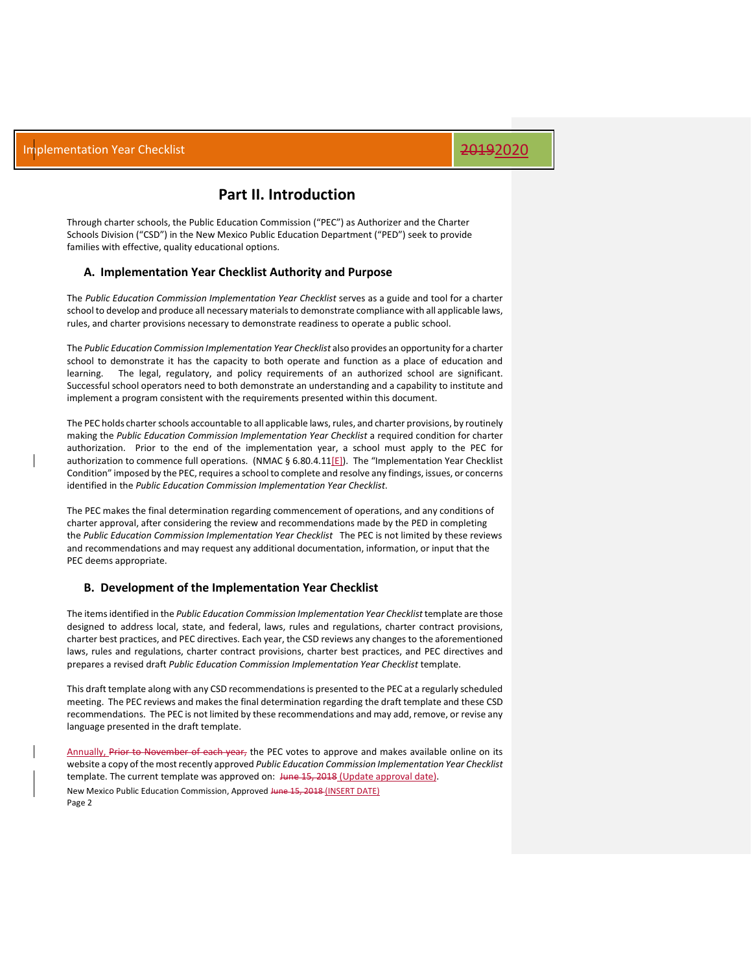### **Part II. Introduction**

Through charter schools, the Public Education Commission ("PEC") as Authorizer and the Charter Schools Division ("CSD") in the New Mexico Public Education Department ("PED") seek to provide families with effective, quality educational options.

### **A. Implementation Year Checklist Authority and Purpose**

The *Public Education Commission Implementation Year Checklist* serves as a guide and tool for a charter school to develop and produce all necessary materials to demonstrate compliance with all applicable laws, rules, and charter provisions necessary to demonstrate readiness to operate a public school.

The *Public Education Commission Implementation Year Checklist* also provides an opportunity for a charter school to demonstrate it has the capacity to both operate and function as a place of education and learning. The legal, regulatory, and policy requirements of an authorized school are significant. Successful school operators need to both demonstrate an understanding and a capability to institute and implement a program consistent with the requirements presented within this document.

The PEC holds charter schools accountable to all applicable laws, rules, and charter provisions, by routinely making the *Public Education Commission Implementation Year Checklist* a required condition for charter authorization. Prior to the end of the implementation year, a school must apply to the PEC for authorization to commence full operations. (NMAC § 6.80.4.11[E]). The "Implementation Year Checklist Condition" imposed by the PEC, requires a school to complete and resolve any findings, issues, or concerns identified in the *Public Education Commission Implementation Year Checklist*.

The PEC makes the final determination regarding commencement of operations, and any conditions of charter approval, after considering the review and recommendations made by the PED in completing the *Public Education Commission Implementation Year Checklist* The PEC is not limited by these reviews and recommendations and may request any additional documentation, information, or input that the PEC deems appropriate.

### **B. Development of the Implementation Year Checklist**

The items identified in the *Public Education Commission Implementation Year Checklist* template are those designed to address local, state, and federal, laws, rules and regulations, charter contract provisions, charter best practices, and PEC directives. Each year, the CSD reviews any changes to the aforementioned laws, rules and regulations, charter contract provisions, charter best practices, and PEC directives and prepares a revised draft *Public Education Commission Implementation Year Checklist* template.

This draft template along with any CSD recommendations is presented to the PEC at a regularly scheduled meeting. The PEC reviews and makes the final determination regarding the draft template and these CSD recommendations. The PEC is not limited by these recommendations and may add, remove, or revise any language presented in the draft template.

New Mexico Public Education Commission, Approved June 15, 2018 (INSERT DATE) Page 2 Annually, Prior to November of each year, the PEC votes to approve and makes available online on its website a copy of the most recently approved *Public Education Commission Implementation Year Checklist*  template. The current template was approved on: June 15, 2018 (Update approval date).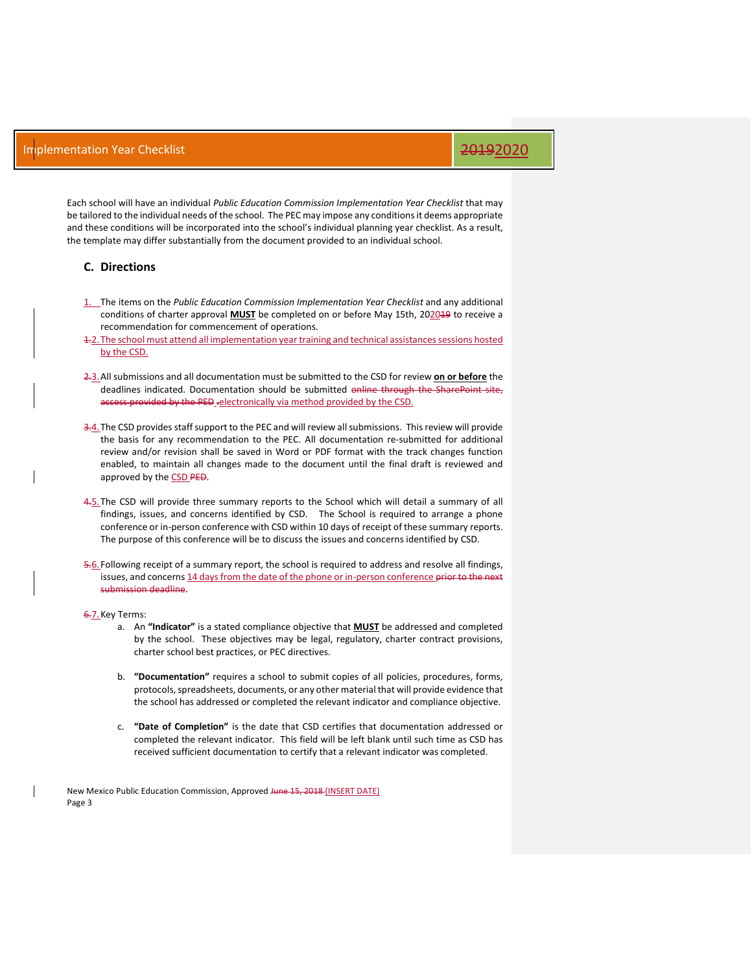Each school will have an individual *Public Education Commission Implementation Year Checklist* that may be tailored to the individual needs of the school. The PEC may impose any conditions it deems appropriate and these conditions will be incorporated into the school's individual planning year checklist. As a result, the template may differ substantially from the document provided to an individual school.

### **C. Directions**

- 1. The items on the *Public Education Commission Implementation Year Checklist* and any additional conditions of charter approval **MUST** be completed on or before May 15th, 202019 to receive a recommendation for commencement of operations.
- 1.2.The school must attend all implementation year training and technical assistances sessions hosted by the CSD.
- 2.3.All submissions and all documentation must be submitted to the CSD for review **on or before** the deadlines indicated. Documentation should be submitted online through the SharePoint site, access provided by the PED -electronically via method provided by the CSD.
- 3.4. The CSD provides staff support to the PEC and will review all submissions. This review will provide the basis for any recommendation to the PEC. All documentation re-submitted for additional review and/or revision shall be saved in Word or PDF format with the track changes function enabled, to maintain all changes made to the document until the final draft is reviewed and approved by the CSD PED.
- 4.5.The CSD will provide three summary reports to the School which will detail a summary of all findings, issues, and concerns identified by CSD. The School is required to arrange a phone conference or in-person conference with CSD within 10 days of receipt of these summary reports. The purpose of this conference will be to discuss the issues and concerns identified by CSD.
- 5.6. Following receipt of a summary report, the school is required to address and resolve all findings, issues, and concerns 14 days from the date of the phone or in-person conference prior to the next submission deadline.

6.7. Key Terms:

- a. An **"Indicator"** is a stated compliance objective that **MUST** be addressed and completed by the school. These objectives may be legal, regulatory, charter contract provisions, charter school best practices, or PEC directives.
- b. **"Documentation"** requires a school to submit copies of all policies, procedures, forms, protocols, spreadsheets, documents, or any other material that will provide evidence that the school has addressed or completed the relevant indicator and compliance objective.
- c. **"Date of Completion"** is the date that CSD certifies that documentation addressed or completed the relevant indicator. This field will be left blank until such time as CSD has received sufficient documentation to certify that a relevant indicator was completed.

New Mexico Public Education Commission, Approved Hune 15, 2018 (INSERT DATE) Page 3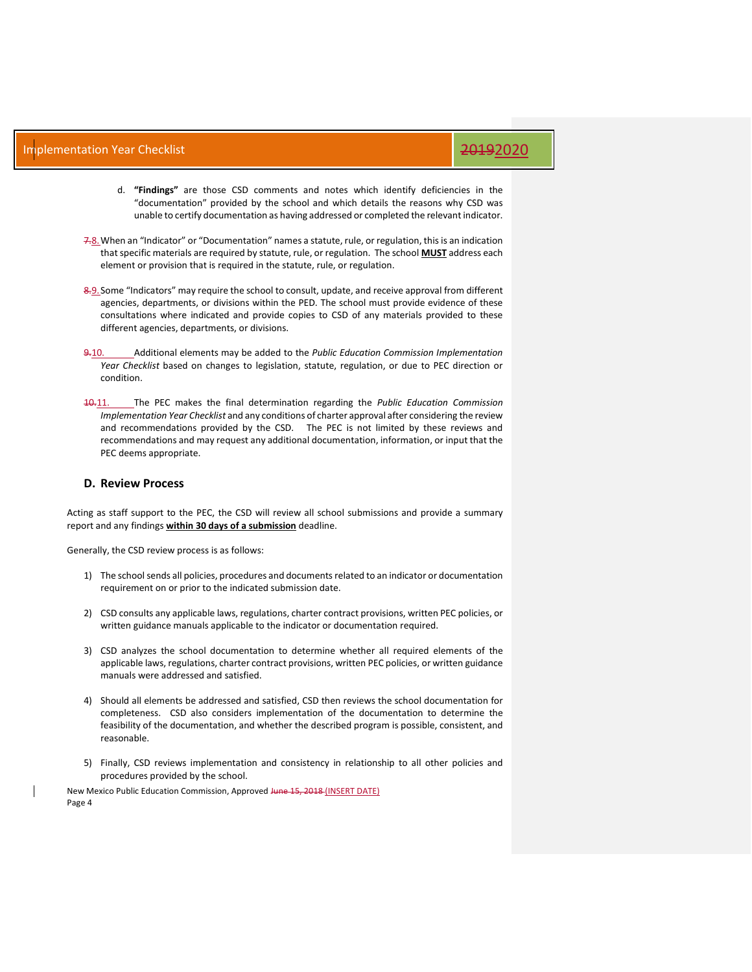- d. **"Findings"** are those CSD comments and notes which identify deficiencies in the "documentation" provided by the school and which details the reasons why CSD was unable to certify documentation as having addressed or completed the relevant indicator.
- 7.8.When an "Indicator" or "Documentation" names a statute, rule, or regulation, this is an indication that specific materials are required by statute, rule, or regulation. The school **MUST** address each element or provision that is required in the statute, rule, or regulation.
- 8.9. Some "Indicators" may require the school to consult, update, and receive approval from different agencies, departments, or divisions within the PED. The school must provide evidence of these consultations where indicated and provide copies to CSD of any materials provided to these different agencies, departments, or divisions.
- 9.10. Additional elements may be added to the *Public Education Commission Implementation Year Checklist* based on changes to legislation, statute, regulation, or due to PEC direction or condition.
- 10.11. The PEC makes the final determination regarding the *Public Education Commission Implementation Year Checklist* and any conditions of charter approval after considering the review and recommendations provided by the CSD. The PEC is not limited by these reviews and recommendations and may request any additional documentation, information, or input that the PEC deems appropriate.

### **D. Review Process**

Acting as staff support to the PEC, the CSD will review all school submissions and provide a summary report and any findings **within 30 days of a submission** deadline.

Generally, the CSD review process is as follows:

- 1) The school sends all policies, procedures and documents related to an indicator or documentation requirement on or prior to the indicated submission date.
- 2) CSD consults any applicable laws, regulations, charter contract provisions, written PEC policies, or written guidance manuals applicable to the indicator or documentation required.
- 3) CSD analyzes the school documentation to determine whether all required elements of the applicable laws, regulations, charter contract provisions, written PEC policies, or written guidance manuals were addressed and satisfied.
- 4) Should all elements be addressed and satisfied, CSD then reviews the school documentation for completeness. CSD also considers implementation of the documentation to determine the feasibility of the documentation, and whether the described program is possible, consistent, and reasonable.
- 5) Finally, CSD reviews implementation and consistency in relationship to all other policies and procedures provided by the school.

New Mexico Public Education Commission, Approved June 15, 2018 (INSERT DATE) Page 4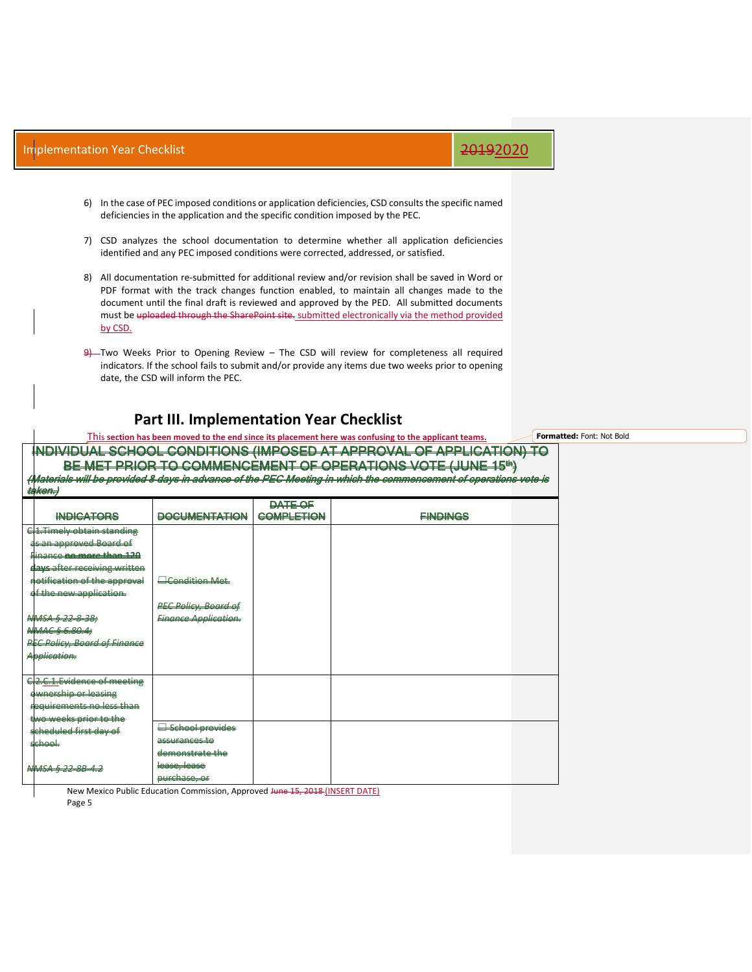- 6) In the case of PEC imposed conditions or application deficiencies, CSD consults the specific named deficiencies in the application and the specific condition imposed by the PEC.
- 7) CSD analyzes the school documentation to determine whether all application deficiencies identified and any PEC imposed conditions were corrected, addressed, or satisfied.
- 8) All documentation re-submitted for additional review and/or revision shall be saved in Word or PDF format with the track changes function enabled, to maintain all changes made to the document until the final draft is reviewed and approved by the PED. All submitted documents must be uploaded through the SharePoint site. submitted electronically via the method provided by CSD.
- $9$ —Two Weeks Prior to Opening Review The CSD will review for completeness all required indicators. If the school fails to submit and/or provide any items due two weeks prior to opening date, the CSD will inform the PEC.

### **Part III. Implementation Year Checklist**

This **section has been moved to the end since its placement here was confusing to the applicant teams.** INDIVIDUAL SCHOOL CONDITIONS (IMPOSED AT APPROVAL OF APPLICATION) TO BE MET PRIOR TO COMMENCEMENT OF OPERATIONS VOTE (JUNE 15<sup>th</sup>) latorials will be provided 8 days in advance of the PEC Meeting in which the commencement of operations vote is taken.) **Formatted:** Font: Not Bold

| <b>WINCHIT</b>                      |                             |                   |                 |  |
|-------------------------------------|-----------------------------|-------------------|-----------------|--|
|                                     |                             | <b>DATE OF</b>    |                 |  |
| <b>INDICATORS</b>                   | <b>DOCUMENTATION</b>        | <b>COMPLETION</b> | <b>EINDINGS</b> |  |
| CL Timely obtain standing           |                             |                   |                 |  |
| as an approved Board of             |                             |                   |                 |  |
| Hinance no more than 120            |                             |                   |                 |  |
| days after receiving written        |                             |                   |                 |  |
| notification of the approval        | <b>Econdition Met.</b>      |                   |                 |  |
| of the new application.             |                             |                   |                 |  |
|                                     | <b>PEC Policy, Board of</b> |                   |                 |  |
| NNSA § 22 8 38;                     | <b>Finance Application.</b> |                   |                 |  |
| NMAC § 6.80.4                       |                             |                   |                 |  |
| <b>PEC Policy, Board of Finance</b> |                             |                   |                 |  |
| Application.                        |                             |                   |                 |  |
|                                     |                             |                   |                 |  |
| C2.C.1.Evidence of meeting          |                             |                   |                 |  |
| ewnership or leasing                |                             |                   |                 |  |
| requirements no less than           |                             |                   |                 |  |
| two weeks prior to the              |                             |                   |                 |  |
| scheduled first day of              | School provides             |                   |                 |  |
| school.                             | assurances to               |                   |                 |  |
|                                     | demonstrate the             |                   |                 |  |
| NNSA § 22 8B 4.2                    | lease, lease                |                   |                 |  |
|                                     | purchase, or                |                   |                 |  |

New Mexico Public Education Commission, Approved June 15, 2018 (INSERT DATE) Page 5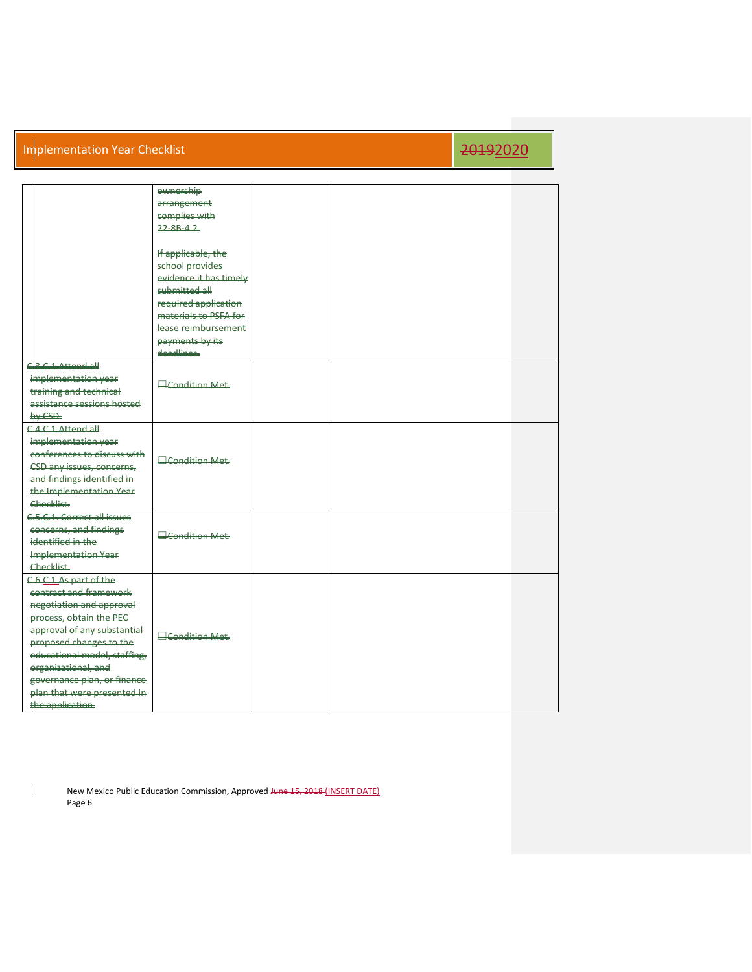|                                          | ewnership              |  |  |
|------------------------------------------|------------------------|--|--|
|                                          | arrangement            |  |  |
|                                          | complies with          |  |  |
|                                          | 22.00112               |  |  |
|                                          |                        |  |  |
|                                          | If applicable, the     |  |  |
|                                          | school provides        |  |  |
|                                          | evidence it has timely |  |  |
|                                          | submitted all          |  |  |
|                                          | required application   |  |  |
|                                          | materials to PSEA for  |  |  |
|                                          | lease reimbursement    |  |  |
|                                          | payments by its        |  |  |
|                                          | deadlines              |  |  |
| C3.C.1.Attend all                        |                        |  |  |
| implementation year                      |                        |  |  |
| training and technical                   | <b>Candition Met</b>   |  |  |
| assistance sessions hosted               |                        |  |  |
| <b>Hy CSD.</b>                           |                        |  |  |
| $C$ 4 $C$ 1 $A$ ttend all                |                        |  |  |
| implementation year                      |                        |  |  |
| donferences to discuss with              |                        |  |  |
| <b>CSD</b> any issues, concerns,         | <b>Econdition Met-</b> |  |  |
| and findings identified in               |                        |  |  |
| the Implementation Year                  |                        |  |  |
| Checklist.                               |                        |  |  |
| C <sub>5</sub> .C.1. Correct all issues  |                        |  |  |
| doncerns, and findings                   |                        |  |  |
| identified in the                        | Condition Met          |  |  |
|                                          |                        |  |  |
| <b>Implementation Year</b><br>Checklist. |                        |  |  |
|                                          |                        |  |  |
| C6.C1.As part of the                     |                        |  |  |
| contract and framework                   |                        |  |  |
| negotiation and approval                 |                        |  |  |
| process, obtain the PEC                  |                        |  |  |
| approval of any substantial              | <b>Econdition Met.</b> |  |  |
| proposed changes to the                  |                        |  |  |
| educational model, staffing,             |                        |  |  |
| erganizational, and                      |                        |  |  |
| governance plan, or finance              |                        |  |  |
| plan that were presented in              |                        |  |  |
| the application.                         |                        |  |  |

New Mexico Public Education Commission, Approved Hune 15, 2018 (INSERT DATE) Page 6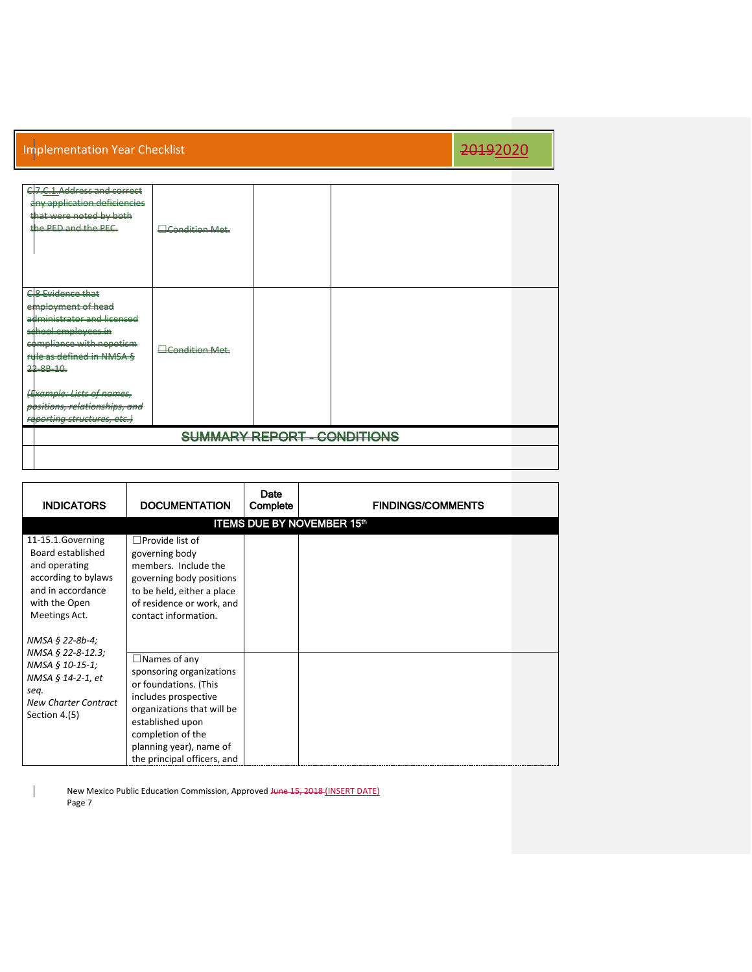| C7.C.1.Address and correct<br>any application deficiencies<br>that were noted by both<br>the PED and the PEC.                                                                  | <b>Econdition Met.</b> |                                    |  |  |
|--------------------------------------------------------------------------------------------------------------------------------------------------------------------------------|------------------------|------------------------------------|--|--|
| <b>C</b> & Evidence that<br>employment of head<br>administrator and licensed<br>school employees in<br>compliance with nepotism<br>rule as defined in NMSA §<br>$22 - 88 - 10$ | <b>Econdition Met.</b> |                                    |  |  |
| (Example: Lists of names,<br>positions, relationships, and<br>reporting structures, etc.)                                                                                      |                        |                                    |  |  |
|                                                                                                                                                                                |                        | <b>SUMMARY REPORT - CONDITIONS</b> |  |  |
|                                                                                                                                                                                |                        |                                    |  |  |

| <b>INDICATORS</b>                                                                                                                     | <b>DOCUMENTATION</b>                                                                                                                                                                                                              | Date<br>Complete | <b>FINDINGS/COMMENTS</b>          |  |
|---------------------------------------------------------------------------------------------------------------------------------------|-----------------------------------------------------------------------------------------------------------------------------------------------------------------------------------------------------------------------------------|------------------|-----------------------------------|--|
|                                                                                                                                       |                                                                                                                                                                                                                                   |                  | <b>ITEMS DUE BY NOVEMBER 15th</b> |  |
| 11-15.1.Governing<br>Board established<br>and operating<br>according to bylaws<br>and in accordance<br>with the Open<br>Meetings Act. | $\Box$ Provide list of<br>governing body<br>members. Include the<br>governing body positions<br>to be held, either a place<br>of residence or work, and<br>contact information.                                                   |                  |                                   |  |
| NMSA § 22-8b-4;<br>NMSA § 22-8-12.3;<br>NMSA § 10-15-1;<br>NMSA § 14-2-1, et<br>seq.<br><b>New Charter Contract</b><br>Section 4.(5)  | $\Box$ Names of any<br>sponsoring organizations<br>or foundations. (This<br>includes prospective<br>organizations that will be<br>established upon<br>completion of the<br>planning year), name of<br>the principal officers, and |                  |                                   |  |

New Mexico Public Education Commission, Approved Hune 15, 2018 (INSERT DATE) Page 7

 $\overline{\phantom{a}}$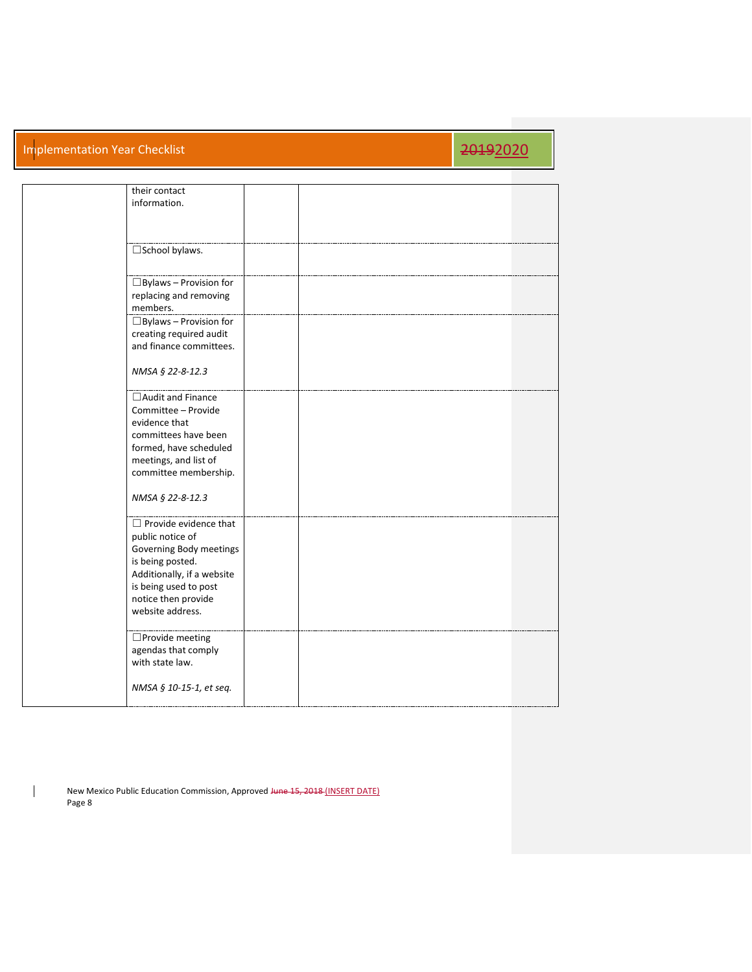| their contact<br>information.                                                                                                                                                                     |  |  |
|---------------------------------------------------------------------------------------------------------------------------------------------------------------------------------------------------|--|--|
| □School bylaws.                                                                                                                                                                                   |  |  |
| $\Box$ Bylaws - Provision for<br>replacing and removing<br>members.                                                                                                                               |  |  |
| $\Box$ Bylaws – Provision for<br>creating required audit<br>and finance committees.                                                                                                               |  |  |
| NMSA § 22-8-12.3                                                                                                                                                                                  |  |  |
| $\Box$ Audit and Finance<br>Committee - Provide<br>evidence that<br>committees have been<br>formed, have scheduled<br>meetings, and list of<br>committee membership.<br>NMSA § 22-8-12.3          |  |  |
| $\Box$ Provide evidence that<br>public notice of<br>Governing Body meetings<br>is being posted.<br>Additionally, if a website<br>is being used to post<br>notice then provide<br>website address. |  |  |
| □Provide meeting<br>agendas that comply<br>with state law.<br>NMSA § 10-15-1, et seq.                                                                                                             |  |  |
|                                                                                                                                                                                                   |  |  |

New Mexico Public Education Commission, Approved Hune 15, 2018 (INSERT DATE) Page 8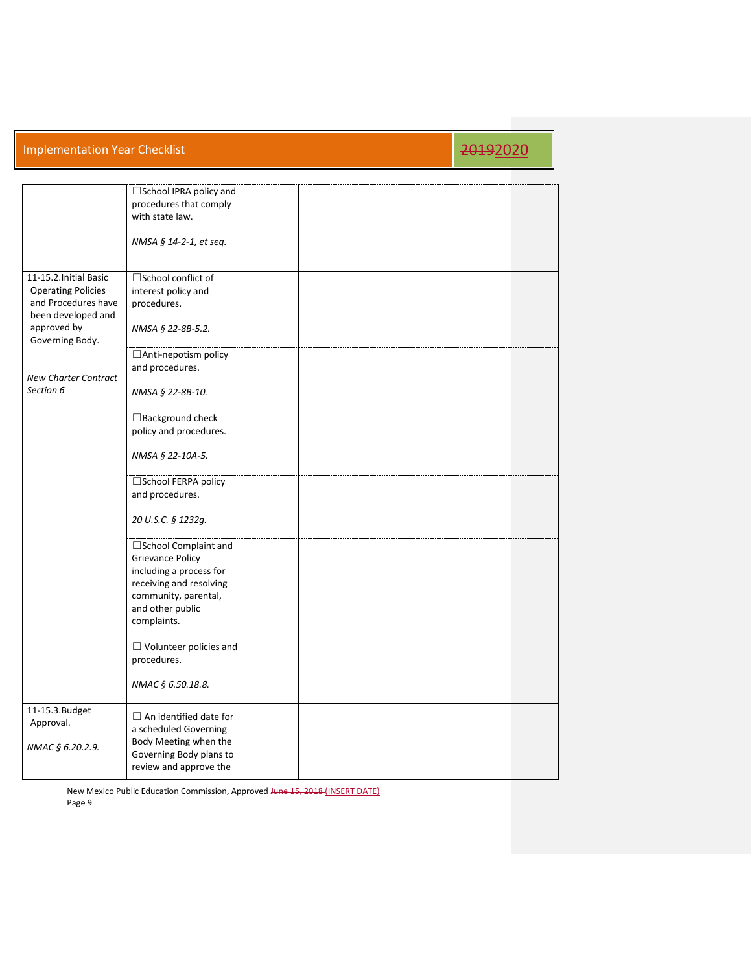|                                                                                                                                    | □ School IPRA policy and<br>procedures that comply<br>with state law.<br>NMSA § 14-2-1, et seq.                                                                            |  |  |
|------------------------------------------------------------------------------------------------------------------------------------|----------------------------------------------------------------------------------------------------------------------------------------------------------------------------|--|--|
| 11-15.2. Initial Basic<br><b>Operating Policies</b><br>and Procedures have<br>been developed and<br>approved by<br>Governing Body. | □School conflict of<br>interest policy and<br>procedures.<br>NMSA § 22-8B-5.2.                                                                                             |  |  |
| <b>New Charter Contract</b><br>Section 6                                                                                           | □ Anti-nepotism policy<br>and procedures.<br>NMSA § 22-8B-10.                                                                                                              |  |  |
|                                                                                                                                    | $\Box$ Background check<br>policy and procedures.<br>NMSA § 22-10A-5.                                                                                                      |  |  |
|                                                                                                                                    | □School FERPA policy<br>and procedures.<br>20 U.S.C. § 1232q.                                                                                                              |  |  |
|                                                                                                                                    | $\square$ School Complaint and<br><b>Grievance Policy</b><br>including a process for<br>receiving and resolving<br>community, parental,<br>and other public<br>complaints. |  |  |
|                                                                                                                                    | $\Box$ Volunteer policies and<br>procedures.<br>NMAC § 6.50.18.8.                                                                                                          |  |  |
| 11-15.3. Budget<br>Approval.<br>NMAC § 6.20.2.9.                                                                                   | $\Box$ An identified date for<br>a scheduled Governing<br>Body Meeting when the<br>Governing Body plans to<br>review and approve the                                       |  |  |

New Mexico Public Education Commission, Approved Hune 15, 2018 (INSERT DATE) Page 9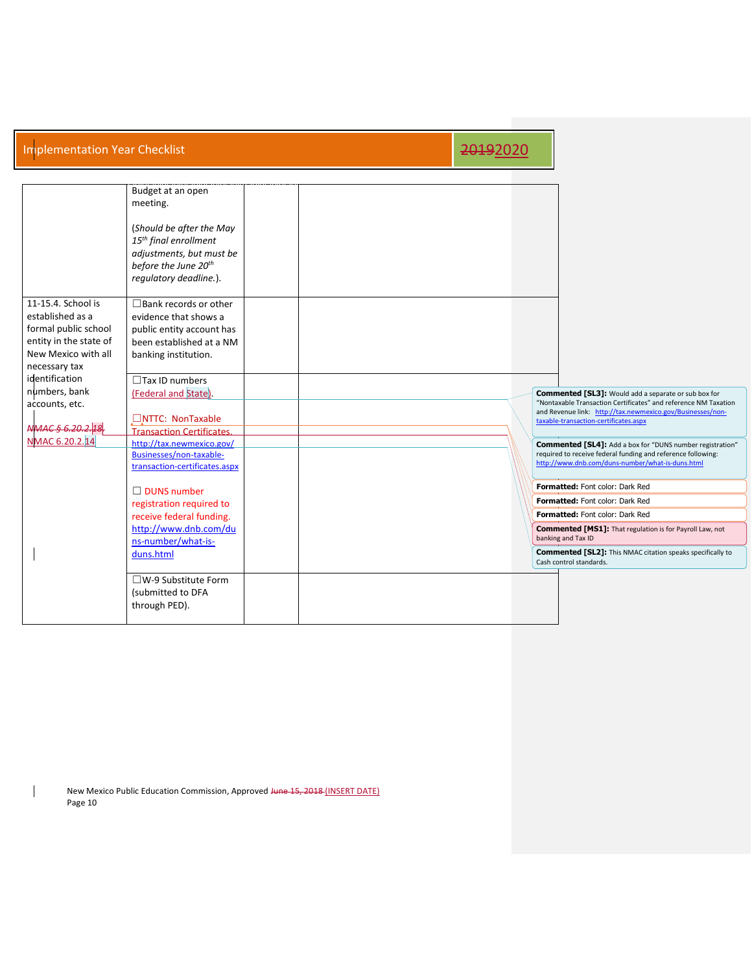|                        | Budget at an open                 |  |  |                                                                                                                                  |
|------------------------|-----------------------------------|--|--|----------------------------------------------------------------------------------------------------------------------------------|
|                        | meeting.                          |  |  |                                                                                                                                  |
|                        |                                   |  |  |                                                                                                                                  |
|                        | (Should be after the May          |  |  |                                                                                                                                  |
|                        | 15 <sup>th</sup> final enrollment |  |  |                                                                                                                                  |
|                        | adjustments, but must be          |  |  |                                                                                                                                  |
|                        | before the June 20 <sup>th</sup>  |  |  |                                                                                                                                  |
|                        | regulatory deadline.).            |  |  |                                                                                                                                  |
|                        |                                   |  |  |                                                                                                                                  |
| 11-15.4. School is     | $\Box$ Bank records or other      |  |  |                                                                                                                                  |
| established as a       | evidence that shows a             |  |  |                                                                                                                                  |
| formal public school   | public entity account has         |  |  |                                                                                                                                  |
| entity in the state of | been established at a NM          |  |  |                                                                                                                                  |
| New Mexico with all    | banking institution.              |  |  |                                                                                                                                  |
| necessary tax          |                                   |  |  |                                                                                                                                  |
| identification         | $\Box$ Tax ID numbers             |  |  |                                                                                                                                  |
| numbers, bank          | (Federal and State).              |  |  | <b>Commented [SL3]:</b> Would add a separate or sub box for                                                                      |
| accounts, etc.         |                                   |  |  | "Nontaxable Transaction Certificates" and reference NM Taxation                                                                  |
|                        | □NTTC: NonTaxable                 |  |  | and Revenue link: http://tax.newmexico.gov/Businesses/non-                                                                       |
| WAAC6620212            | <b>Transaction Certificates.</b>  |  |  | taxable-transaction-certificates.aspx                                                                                            |
| NMAC 6.20.2.14         | http://tax.newmexico.gov/         |  |  |                                                                                                                                  |
|                        | Businesses/non-taxable-           |  |  | <b>Commented [SL4]:</b> Add a box for "DUNS number registration"<br>required to receive federal funding and reference following: |
|                        | transaction-certificates.aspx     |  |  | http://www.dnb.com/duns-number/what-is-duns.html                                                                                 |
|                        |                                   |  |  |                                                                                                                                  |
|                        | $\Box$ DUNS number                |  |  | Formatted: Font color: Dark Red                                                                                                  |
|                        | registration required to          |  |  | Formatted: Font color: Dark Red                                                                                                  |
|                        | receive federal funding.          |  |  | Formatted: Font color: Dark Red                                                                                                  |
|                        | http://www.dnb.com/du             |  |  | <b>Commented [MS1]:</b> That regulation is for Payroll Law, not                                                                  |
|                        | ns-number/what-is-                |  |  | banking and Tax ID                                                                                                               |
|                        | duns.html                         |  |  | <b>Commented [SL2]:</b> This NMAC citation speaks specifically to<br>Cash control standards.                                     |
|                        | $\square$ W-9 Substitute Form     |  |  |                                                                                                                                  |
|                        | (submitted to DFA                 |  |  |                                                                                                                                  |
|                        | through PED).                     |  |  |                                                                                                                                  |
|                        |                                   |  |  |                                                                                                                                  |

New Mexico Public Education Commission, Approved Hune 15, 2018 (INSERT DATE) Page 10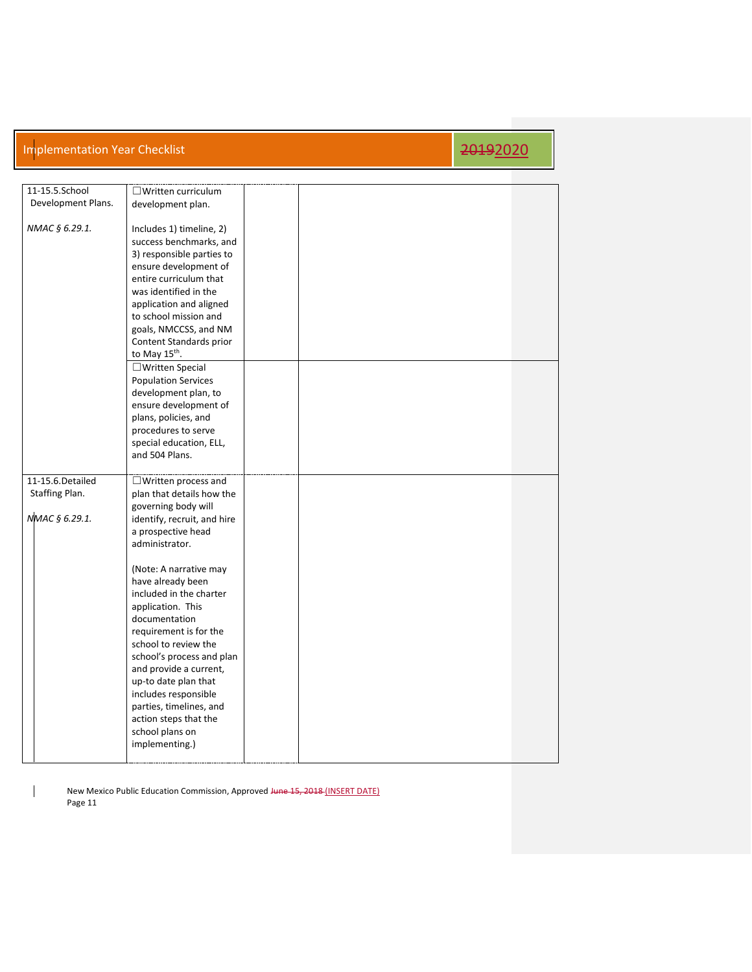| 11-15.5.School     | $\Box$ Written curriculum   |  |  |
|--------------------|-----------------------------|--|--|
| Development Plans. | development plan.           |  |  |
|                    |                             |  |  |
| NMAC § 6.29.1.     | Includes 1) timeline, 2)    |  |  |
|                    |                             |  |  |
|                    | success benchmarks, and     |  |  |
|                    | 3) responsible parties to   |  |  |
|                    | ensure development of       |  |  |
|                    | entire curriculum that      |  |  |
|                    | was identified in the       |  |  |
|                    | application and aligned     |  |  |
|                    | to school mission and       |  |  |
|                    |                             |  |  |
|                    | goals, NMCCSS, and NM       |  |  |
|                    | Content Standards prior     |  |  |
|                    | to May 15th.                |  |  |
|                    | □ Written Special           |  |  |
|                    | <b>Population Services</b>  |  |  |
|                    | development plan, to        |  |  |
|                    | ensure development of       |  |  |
|                    | plans, policies, and        |  |  |
|                    |                             |  |  |
|                    | procedures to serve         |  |  |
|                    | special education, ELL,     |  |  |
|                    | and 504 Plans.              |  |  |
|                    |                             |  |  |
|                    |                             |  |  |
|                    |                             |  |  |
| 11-15.6. Detailed  | $\Box$ Written process and  |  |  |
| Staffing Plan.     | plan that details how the   |  |  |
|                    | governing body will         |  |  |
| NMAC § 6.29.1.     | identify, recruit, and hire |  |  |
|                    | a prospective head          |  |  |
|                    | administrator.              |  |  |
|                    |                             |  |  |
|                    | (Note: A narrative may      |  |  |
|                    |                             |  |  |
|                    | have already been           |  |  |
|                    | included in the charter     |  |  |
|                    | application. This           |  |  |
|                    | documentation               |  |  |
|                    | requirement is for the      |  |  |
|                    | school to review the        |  |  |
|                    | school's process and plan   |  |  |
|                    | and provide a current,      |  |  |
|                    | up-to date plan that        |  |  |
|                    |                             |  |  |
|                    | includes responsible        |  |  |
|                    | parties, timelines, and     |  |  |
|                    | action steps that the       |  |  |
|                    | school plans on             |  |  |
|                    | implementing.)              |  |  |

New Mexico Public Education Commission, Approved Hune 15, 2018 (INSERT DATE) Page 11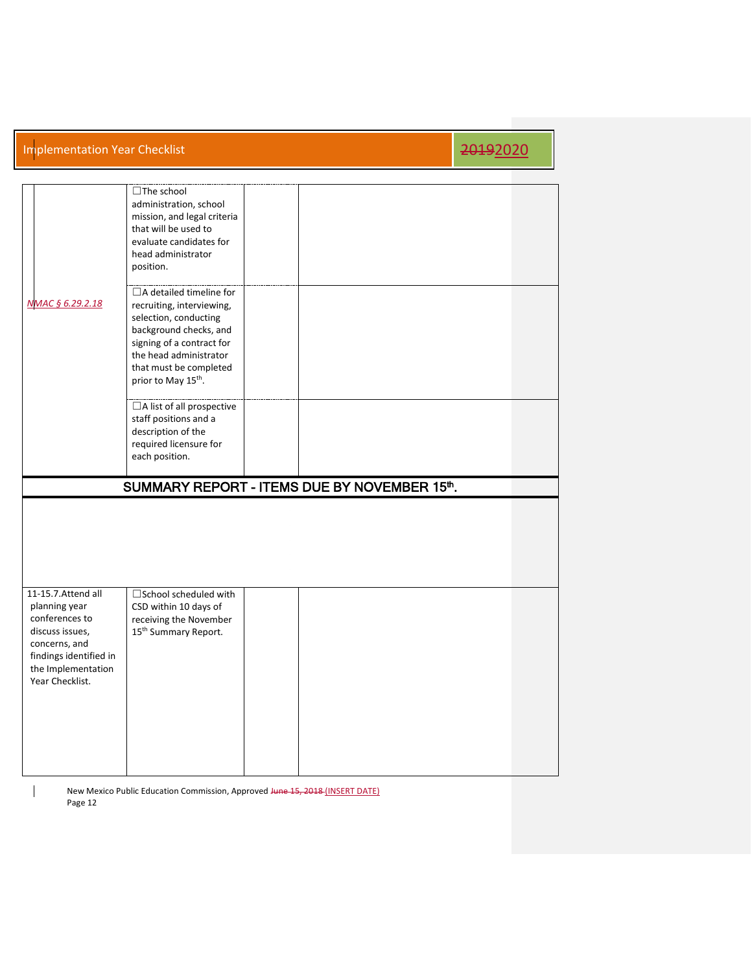|                  | □The school<br>administration, school<br>mission, and legal criteria<br>that will be used to<br>evaluate candidates for<br>head administrator<br>position.                                                                         |  |  |  |
|------------------|------------------------------------------------------------------------------------------------------------------------------------------------------------------------------------------------------------------------------------|--|--|--|
| NMAC § 6.29.2.18 | $\Box$ A detailed timeline for<br>recruiting, interviewing,<br>selection, conducting<br>background checks, and<br>signing of a contract for<br>the head administrator<br>that must be completed<br>prior to May 15 <sup>th</sup> . |  |  |  |
|                  | □A list of all prospective<br>staff positions and a<br>description of the<br>required licensure for<br>each position.                                                                                                              |  |  |  |
|                  |                                                                                                                                                                                                                                    |  |  |  |
|                  | SUMMARY REPORT - ITEMS DUE BY NOVEMBER 15th.                                                                                                                                                                                       |  |  |  |
|                  |                                                                                                                                                                                                                                    |  |  |  |

New Mexico Public Education Commission, Approved Hune 15, 2018 (INSERT DATE) Page 12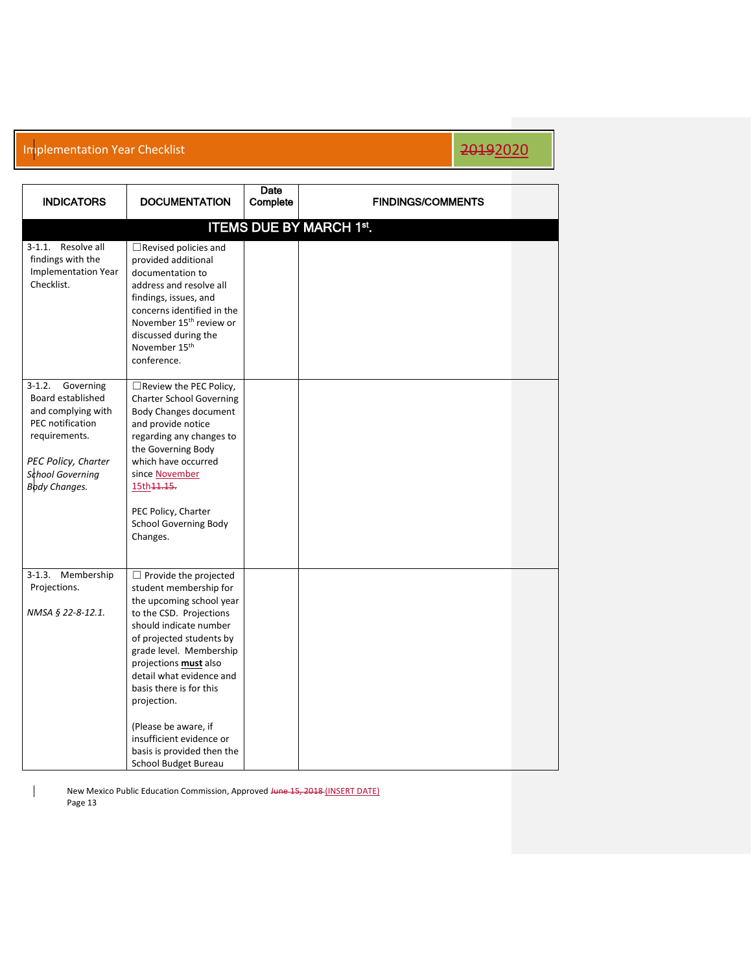| <b>INDICATORS</b>                                                                                                                                                        | <b>DOCUMENTATION</b>                                                                                                                                                                                                                                                                                                                                                                                    | Date<br>Complete | <b>FINDINGS/COMMENTS</b> |  |  |  |  |  |  |
|--------------------------------------------------------------------------------------------------------------------------------------------------------------------------|---------------------------------------------------------------------------------------------------------------------------------------------------------------------------------------------------------------------------------------------------------------------------------------------------------------------------------------------------------------------------------------------------------|------------------|--------------------------|--|--|--|--|--|--|
| <b>ITEMS DUE BY MARCH 1st.</b>                                                                                                                                           |                                                                                                                                                                                                                                                                                                                                                                                                         |                  |                          |  |  |  |  |  |  |
| 3-1.1. Resolve all<br>findings with the<br><b>Implementation Year</b><br>Checklist.                                                                                      | $\Box$ Revised policies and<br>provided additional<br>documentation to<br>address and resolve all<br>findings, issues, and<br>concerns identified in the<br>November 15 <sup>th</sup> review or<br>discussed during the<br>November 15 <sup>th</sup><br>conference.                                                                                                                                     |                  |                          |  |  |  |  |  |  |
| $3-1.2.$<br>Governing<br>Board established<br>and complying with<br>PEC notification<br>requirements.<br>PEC Policy, Charter<br>School Governing<br><b>Body Changes.</b> | □ Review the PEC Policy,<br><b>Charter School Governing</b><br><b>Body Changes document</b><br>and provide notice<br>regarding any changes to<br>the Governing Body<br>which have occurred<br>since November<br>15th 11.15.<br>PEC Policy, Charter<br><b>School Governing Body</b><br>Changes.                                                                                                          |                  |                          |  |  |  |  |  |  |
| 3-1.3. Membership<br>Projections.<br>NMSA § 22-8-12.1.                                                                                                                   | $\Box$ Provide the projected<br>student membership for<br>the upcoming school year<br>to the CSD. Projections<br>should indicate number<br>of projected students by<br>grade level. Membership<br>projections must also<br>detail what evidence and<br>basis there is for this<br>projection.<br>(Please be aware, if<br>insufficient evidence or<br>basis is provided then the<br>School Budget Bureau |                  |                          |  |  |  |  |  |  |

New Mexico Public Education Commission, Approved Hune 15, 2018 (INSERT DATE) Page 13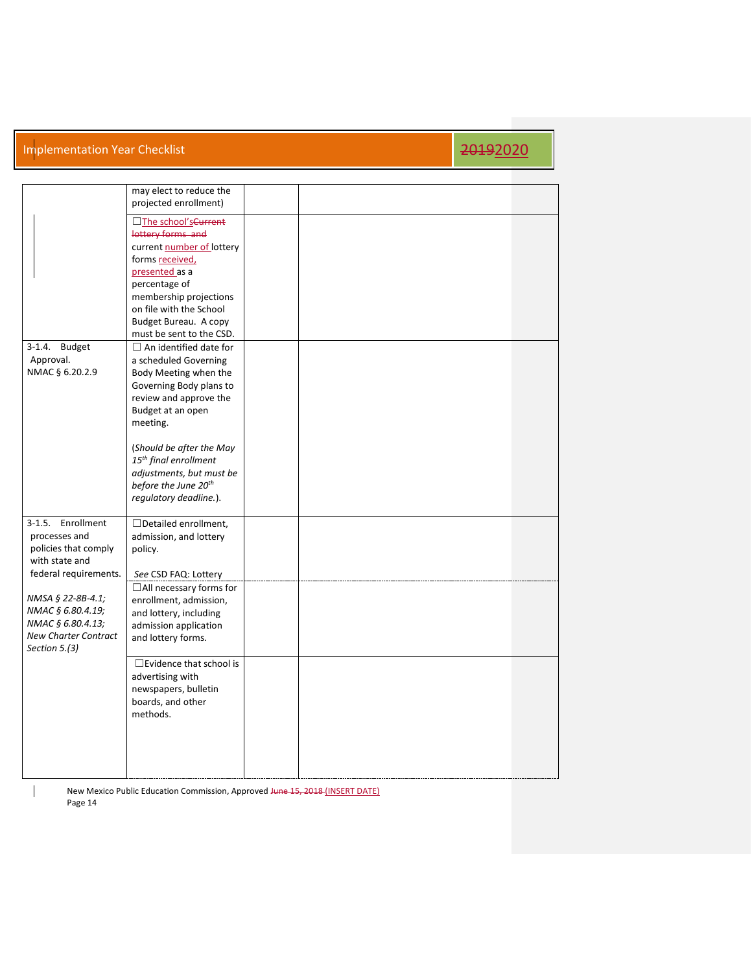|                                                                                                             | may elect to reduce the<br>projected enrollment)                                                                                                                                                                                                                                                                                 |  |  |  |
|-------------------------------------------------------------------------------------------------------------|----------------------------------------------------------------------------------------------------------------------------------------------------------------------------------------------------------------------------------------------------------------------------------------------------------------------------------|--|--|--|
|                                                                                                             | □The school's Current<br>lottery forms and<br>current number of lottery<br>forms received,<br>presented as a<br>percentage of<br>membership projections<br>on file with the School<br>Budget Bureau. A copy<br>must be sent to the CSD.                                                                                          |  |  |  |
| 3-1.4. Budget<br>Approval.<br>NMAC § 6.20.2.9                                                               | $\Box$ An identified date for<br>a scheduled Governing<br>Body Meeting when the<br>Governing Body plans to<br>review and approve the<br>Budget at an open<br>meeting.<br>(Should be after the May<br>15 <sup>th</sup> final enrollment<br>adjustments, but must be<br>before the June 20 <sup>th</sup><br>regulatory deadline.). |  |  |  |
| 3-1.5. Enrollment<br>processes and<br>policies that comply<br>with state and<br>federal requirements.       | $\Box$ Detailed enrollment,<br>admission, and lottery<br>policy.<br>See CSD FAQ: Lottery                                                                                                                                                                                                                                         |  |  |  |
| NMSA § 22-8B-4.1;<br>NMAC § 6.80.4.19;<br>NMAC § 6.80.4.13;<br><b>New Charter Contract</b><br>Section 5.(3) | □All necessary forms for<br>enrollment, admission,<br>and lottery, including<br>admission application<br>and lottery forms.                                                                                                                                                                                                      |  |  |  |
|                                                                                                             | $\Box$ Evidence that school is<br>advertising with<br>newspapers, bulletin<br>boards, and other<br>methods.                                                                                                                                                                                                                      |  |  |  |

New Mexico Public Education Commission, Approved Hune 15, 2018 (INSERT DATE) Page 14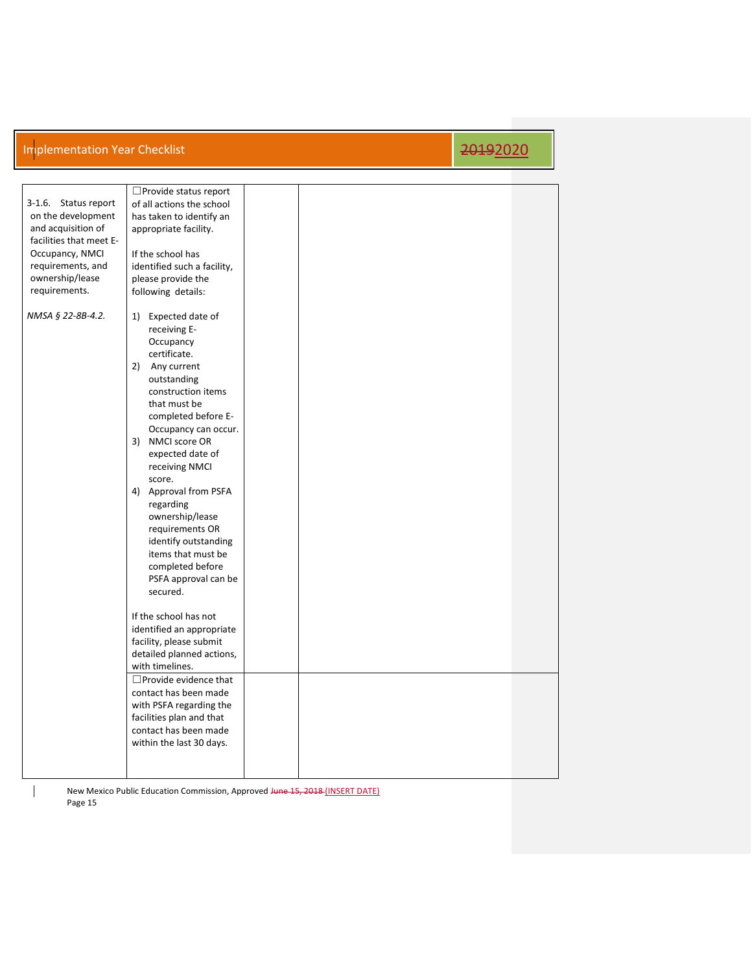| 3-1.6. Status report<br>on the development<br>and acquisition of<br>facilities that meet E-<br>Occupancy, NMCI<br>requirements, and<br>ownership/lease<br>requirements. | □ Provide status report<br>of all actions the school<br>has taken to identify an<br>appropriate facility.<br>If the school has<br>identified such a facility,<br>please provide the<br>following details:                                                                                                                                                                                                                                                                                                                                                                                                                                                                                |  |  |
|-------------------------------------------------------------------------------------------------------------------------------------------------------------------------|------------------------------------------------------------------------------------------------------------------------------------------------------------------------------------------------------------------------------------------------------------------------------------------------------------------------------------------------------------------------------------------------------------------------------------------------------------------------------------------------------------------------------------------------------------------------------------------------------------------------------------------------------------------------------------------|--|--|
| NMSA § 22-8B-4.2.                                                                                                                                                       | 1) Expected date of<br>receiving E-<br>Occupancy<br>certificate.<br>2) Any current<br>outstanding<br>construction items<br>that must be<br>completed before E-<br>Occupancy can occur.<br>3) NMCI score OR<br>expected date of<br>receiving NMCI<br>score.<br>4) Approval from PSFA<br>regarding<br>ownership/lease<br>requirements OR<br>identify outstanding<br>items that must be<br>completed before<br>PSFA approval can be<br>secured.<br>If the school has not<br>identified an appropriate<br>facility, please submit<br>detailed planned actions,<br>with timelines.<br>□ Provide evidence that<br>contact has been made<br>with PSFA regarding the<br>facilities plan and that |  |  |
|                                                                                                                                                                         | contact has been made<br>within the last 30 days.                                                                                                                                                                                                                                                                                                                                                                                                                                                                                                                                                                                                                                        |  |  |

New Mexico Public Education Commission, Approved Hune 15, 2018 (INSERT DATE) Page 15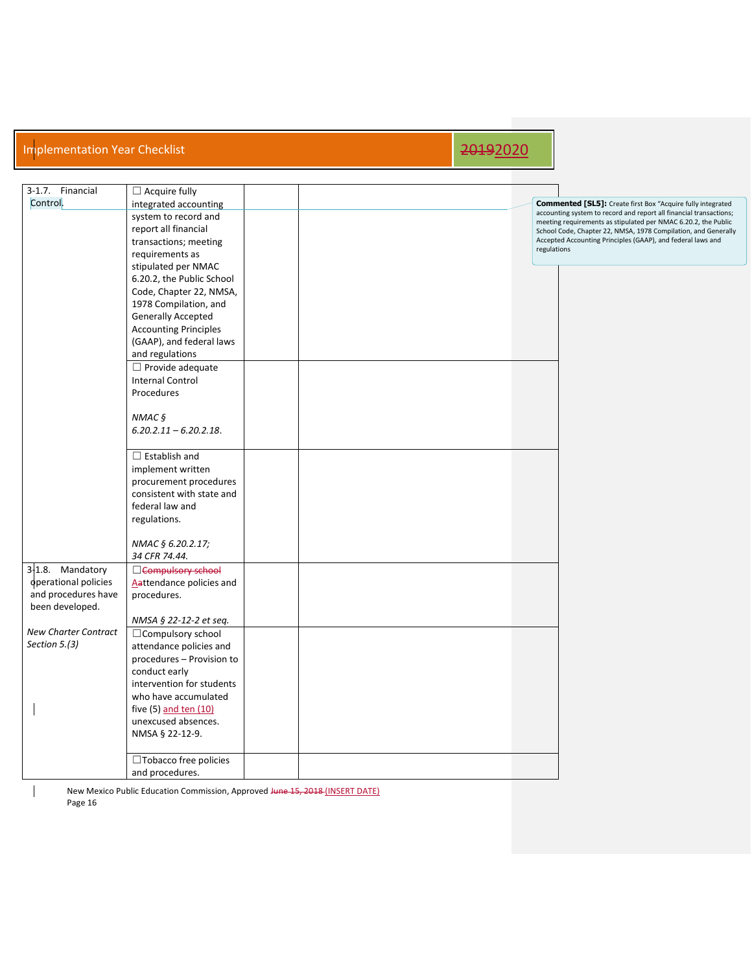| 3-1.7. Financial            | $\Box$ Acquire fully         |  |                                                                                                                                  |
|-----------------------------|------------------------------|--|----------------------------------------------------------------------------------------------------------------------------------|
| Control.                    | integrated accounting        |  | <b>Commented [SL5]:</b> Create first Box "Acquire fully integrated                                                               |
|                             | system to record and         |  | accounting system to record and report all financial transactions;                                                               |
|                             | report all financial         |  | meeting requirements as stipulated per NMAC 6.20.2, the Public<br>School Code, Chapter 22, NMSA, 1978 Compilation, and Generally |
|                             | transactions; meeting        |  | Accepted Accounting Principles (GAAP), and federal laws and                                                                      |
|                             | requirements as              |  | regulations                                                                                                                      |
|                             | stipulated per NMAC          |  |                                                                                                                                  |
|                             |                              |  |                                                                                                                                  |
|                             | 6.20.2, the Public School    |  |                                                                                                                                  |
|                             | Code, Chapter 22, NMSA,      |  |                                                                                                                                  |
|                             | 1978 Compilation, and        |  |                                                                                                                                  |
|                             | <b>Generally Accepted</b>    |  |                                                                                                                                  |
|                             | <b>Accounting Principles</b> |  |                                                                                                                                  |
|                             | (GAAP), and federal laws     |  |                                                                                                                                  |
|                             | and regulations              |  |                                                                                                                                  |
|                             | $\Box$ Provide adequate      |  |                                                                                                                                  |
|                             | <b>Internal Control</b>      |  |                                                                                                                                  |
|                             | Procedures                   |  |                                                                                                                                  |
|                             |                              |  |                                                                                                                                  |
|                             | NMAC $\frac{1}{2}$           |  |                                                                                                                                  |
|                             | $6.20.2.11 - 6.20.2.18$ .    |  |                                                                                                                                  |
|                             |                              |  |                                                                                                                                  |
|                             | $\Box$ Establish and         |  |                                                                                                                                  |
|                             | implement written            |  |                                                                                                                                  |
|                             | procurement procedures       |  |                                                                                                                                  |
|                             | consistent with state and    |  |                                                                                                                                  |
|                             | federal law and              |  |                                                                                                                                  |
|                             | regulations.                 |  |                                                                                                                                  |
|                             |                              |  |                                                                                                                                  |
|                             |                              |  |                                                                                                                                  |
|                             | NMAC § 6.20.2.17;            |  |                                                                                                                                  |
|                             | 34 CFR 74.44.                |  |                                                                                                                                  |
| 3-1.8. Mandatory            | □ Compulsory school          |  |                                                                                                                                  |
| operational policies        | Aattendance policies and     |  |                                                                                                                                  |
| and procedures have         | procedures.                  |  |                                                                                                                                  |
| been developed.             |                              |  |                                                                                                                                  |
|                             | NMSA § 22-12-2 et seq.       |  |                                                                                                                                  |
| <b>New Charter Contract</b> | □ Compulsory school          |  |                                                                                                                                  |
| Section 5.(3)               | attendance policies and      |  |                                                                                                                                  |
|                             | procedures - Provision to    |  |                                                                                                                                  |
|                             | conduct early                |  |                                                                                                                                  |
|                             | intervention for students    |  |                                                                                                                                  |
|                             | who have accumulated         |  |                                                                                                                                  |
|                             | five (5) and ten (10)        |  |                                                                                                                                  |
|                             | unexcused absences.          |  |                                                                                                                                  |
|                             | NMSA § 22-12-9.              |  |                                                                                                                                  |
|                             |                              |  |                                                                                                                                  |
|                             | $\Box$ Tobacco free policies |  |                                                                                                                                  |
|                             | and procedures.              |  |                                                                                                                                  |

New Mexico Public Education Commission, Approved Hune 15, 2018 (INSERT DATE) Page 16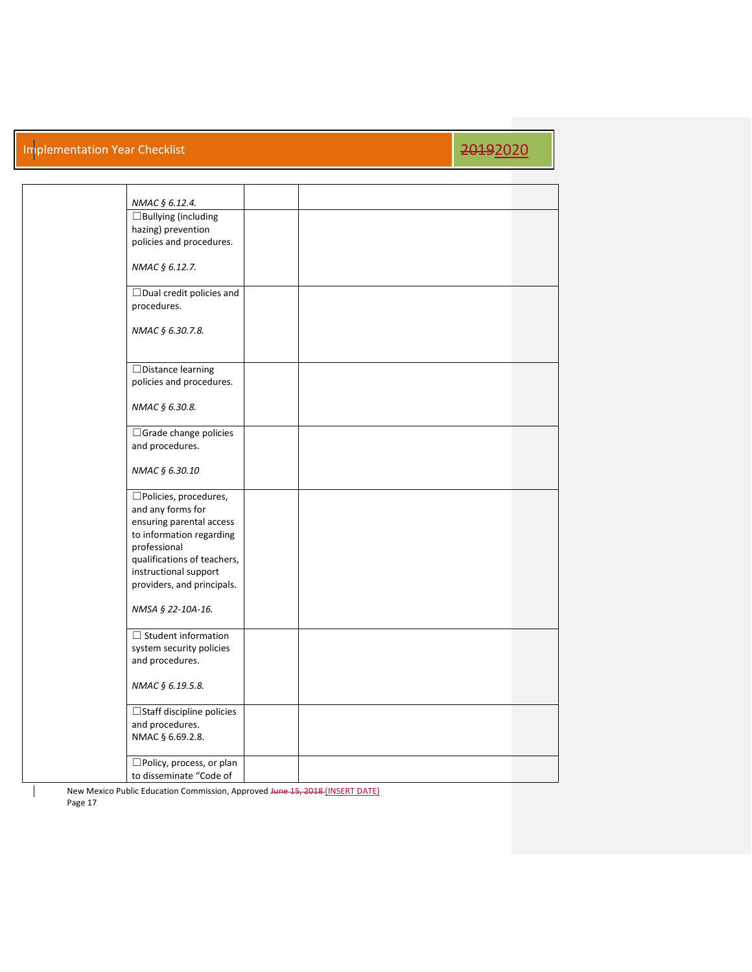## Implementation Year Checklist 2019 2019 2019 12:00 12:00 12:00 12:00 12:00 12:00 12:00 12:00 12:00 12:00 12:00

| NMAC § 6.12.4.                                       |  |  |
|------------------------------------------------------|--|--|
| □Bullying (including                                 |  |  |
| hazing) prevention                                   |  |  |
| policies and procedures.                             |  |  |
| NMAC § 6.12.7.                                       |  |  |
| □Dual credit policies and                            |  |  |
| procedures.                                          |  |  |
|                                                      |  |  |
| NMAC § 6.30.7.8.                                     |  |  |
|                                                      |  |  |
| □Distance learning                                   |  |  |
| policies and procedures.                             |  |  |
| NMAC § 6.30.8.                                       |  |  |
|                                                      |  |  |
| □ Grade change policies<br>and procedures.           |  |  |
|                                                      |  |  |
| NMAC § 6.30.10                                       |  |  |
| □Policies, procedures,                               |  |  |
| and any forms for                                    |  |  |
| ensuring parental access<br>to information regarding |  |  |
| professional                                         |  |  |
| qualifications of teachers,                          |  |  |
| instructional support<br>providers, and principals.  |  |  |
|                                                      |  |  |
| NMSA § 22-10A-16.                                    |  |  |
| $\Box$ Student information                           |  |  |
| system security policies                             |  |  |
| and procedures.                                      |  |  |
| NMAC § 6.19.5.8.                                     |  |  |
| □ Staff discipline policies                          |  |  |
| and procedures.                                      |  |  |
| NMAC § 6.69.2.8.                                     |  |  |
| □Policy, process, or plan                            |  |  |
| to disseminate "Code of                              |  |  |
|                                                      |  |  |

New Mexico Public Education Commission, Approved Hune 15, 2018 (INSERT DATE) Page 17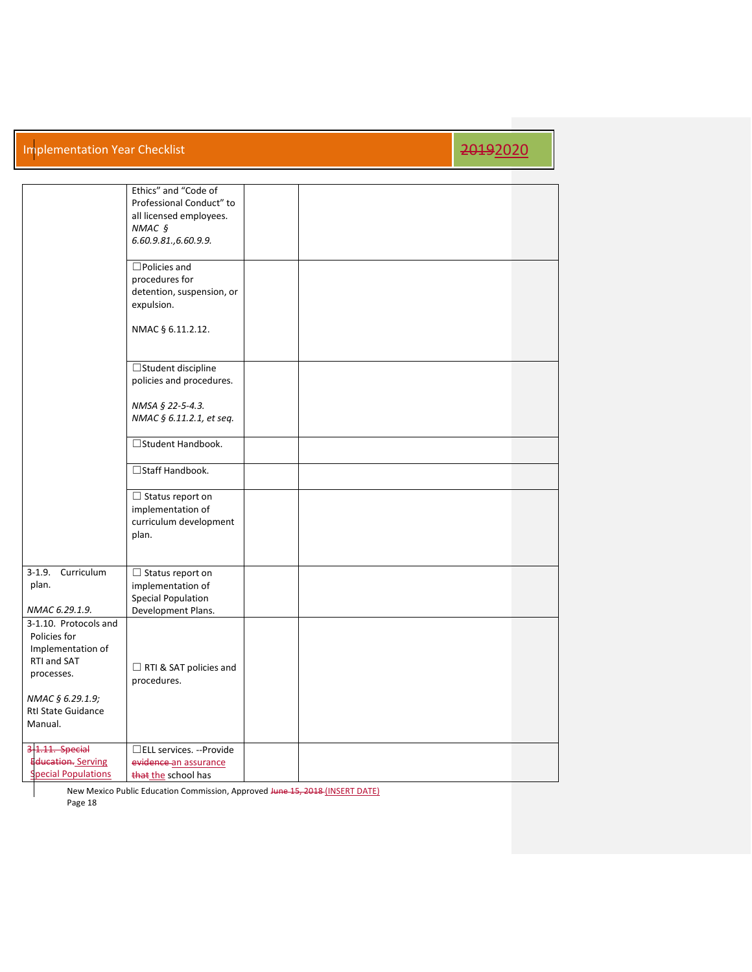### Implementation Year Checklist 2019 2019 2019 12:00 12:00 12:00 12:00 12:00 12:00 12:00 12:00 12:00 12:00 12:00

|                                                                                         | Ethics" and "Code of<br>Professional Conduct" to<br>all licensed employees.<br>$NMAC$ §<br>6.60.9.81., 6.60.9.9. |  |  |  |
|-----------------------------------------------------------------------------------------|------------------------------------------------------------------------------------------------------------------|--|--|--|
|                                                                                         | $\Box$ Policies and<br>procedures for<br>detention, suspension, or<br>expulsion.                                 |  |  |  |
|                                                                                         | NMAC § 6.11.2.12.                                                                                                |  |  |  |
|                                                                                         | □Student discipline<br>policies and procedures.                                                                  |  |  |  |
|                                                                                         | NMSA § 22-5-4.3.<br>NMAC § 6.11.2.1, et seq.                                                                     |  |  |  |
|                                                                                         | □Student Handbook.                                                                                               |  |  |  |
|                                                                                         | □Staff Handbook.                                                                                                 |  |  |  |
|                                                                                         | $\Box$ Status report on<br>implementation of<br>curriculum development<br>plan.                                  |  |  |  |
| $3-1.9.$<br>Curriculum<br>plan.<br>NMAC 6.29.1.9.                                       | $\Box$ Status report on<br>implementation of<br><b>Special Population</b><br>Development Plans.                  |  |  |  |
| 3-1.10. Protocols and<br>Policies for<br>Implementation of<br>RTI and SAT<br>processes. | RTI & SAT policies and<br>procedures.                                                                            |  |  |  |
| NMAC § 6.29.1.9;<br><b>Rtl State Guidance</b><br>Manual.                                |                                                                                                                  |  |  |  |
| 3-1.11. Special<br><b>Education.</b> Serving<br>pecial Populations                      | □ELL services. --Provide<br>evidence an assurance<br>that the school has                                         |  |  |  |

New Mexico Public Education Commission, Approved Hune 15, 2018 (INSERT DATE) Page 18

 $\mathcal{L}$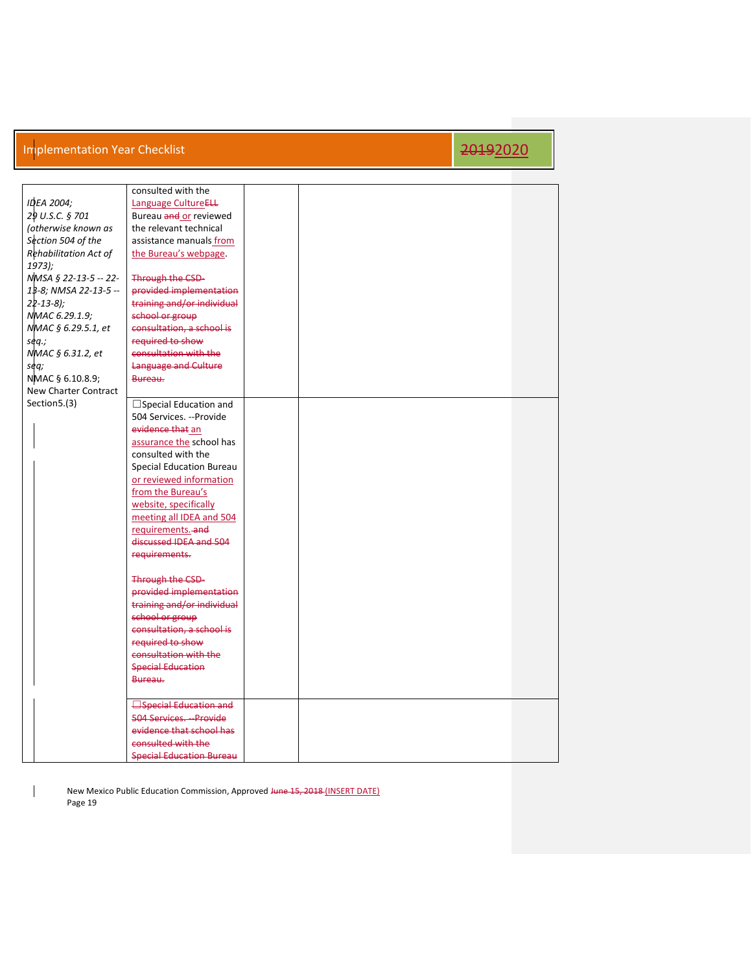|                       | consulted with the              |  |  |
|-----------------------|---------------------------------|--|--|
| <b>IDEA 2004:</b>     | Language CultureELL             |  |  |
| 29 U.S.C. § 701       | Bureau and or reviewed          |  |  |
| (otherwise known as   | the relevant technical          |  |  |
| Section 504 of the    | assistance manuals from         |  |  |
| Rehabilitation Act of | the Bureau's webpage.           |  |  |
| $1973$ );             |                                 |  |  |
| NMSA § 22-13-5 -- 22- | Through the CSD-                |  |  |
| 13-8; NMSA 22-13-5 -- | provided implementation         |  |  |
| $22 - 13 - 8$ );      | training and/or individual      |  |  |
| NMAC 6.29.1.9;        | school or group                 |  |  |
| NMAC § 6.29.5.1, et   | consultation, a school is       |  |  |
| seq.;                 | required to show                |  |  |
| NMAC § 6.31.2, et     | consultation with the           |  |  |
| seq;                  | Language and Culture            |  |  |
| NMAC § 6.10.8.9;      | Bureau.                         |  |  |
| New Charter Contract  |                                 |  |  |
| Section 5.(3)         | $\Box$ Special Education and    |  |  |
|                       | 504 Services. --Provide         |  |  |
|                       | evidence that an                |  |  |
|                       | assurance the school has        |  |  |
|                       | consulted with the              |  |  |
|                       | <b>Special Education Bureau</b> |  |  |
|                       | or reviewed information         |  |  |
|                       | from the Bureau's               |  |  |
|                       | website, specifically           |  |  |
|                       | meeting all IDEA and 504        |  |  |
|                       | requirements. and               |  |  |
|                       | discussed IDEA and 504          |  |  |
|                       | requirements.                   |  |  |
|                       |                                 |  |  |
|                       | <b>Through the CSD-</b>         |  |  |
|                       | provided implementation         |  |  |
|                       | training and/or individual      |  |  |
|                       | school or group                 |  |  |
|                       | consultation, a school is       |  |  |
|                       | required to show                |  |  |
|                       | consultation with the           |  |  |
|                       | <b>Special Education</b>        |  |  |
|                       | Bureau.                         |  |  |
|                       |                                 |  |  |
|                       | <b>Special Education and</b>    |  |  |
|                       | 504 Services. - Provide         |  |  |
|                       | evidence that school has        |  |  |
|                       | consulted with the              |  |  |
|                       | <b>Special Education Bureau</b> |  |  |

New Mexico Public Education Commission, Approved Hune 15, 2018 (INSERT DATE) Page 19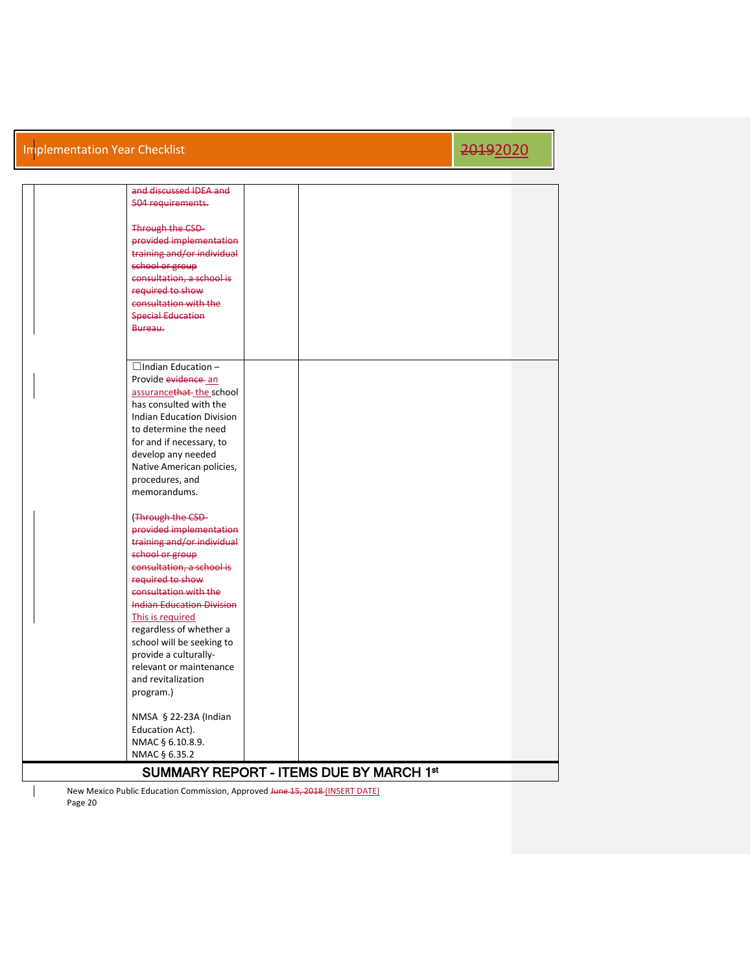| and discussed IDEA and           |                                         |  |
|----------------------------------|-----------------------------------------|--|
| 504 requirements.                |                                         |  |
|                                  |                                         |  |
| Through the CSD-                 |                                         |  |
| provided implementation          |                                         |  |
| training and/or individual       |                                         |  |
|                                  |                                         |  |
| school or group                  |                                         |  |
| consultation, a school is        |                                         |  |
| required to show                 |                                         |  |
| consultation with the            |                                         |  |
| <b>Special Education</b>         |                                         |  |
| Bureau.                          |                                         |  |
|                                  |                                         |  |
|                                  |                                         |  |
| $\Box$ Indian Education -        |                                         |  |
| Provide evidence an              |                                         |  |
| assurancethat the school         |                                         |  |
| has consulted with the           |                                         |  |
| <b>Indian Education Division</b> |                                         |  |
| to determine the need            |                                         |  |
|                                  |                                         |  |
| for and if necessary, to         |                                         |  |
| develop any needed               |                                         |  |
| Native American policies,        |                                         |  |
| procedures, and                  |                                         |  |
| memorandums.                     |                                         |  |
|                                  |                                         |  |
| (Through the CSD-                |                                         |  |
| provided implementation          |                                         |  |
| training and/or individual       |                                         |  |
| school or group                  |                                         |  |
| consultation, a school is        |                                         |  |
| required to show                 |                                         |  |
| consultation with the            |                                         |  |
| <b>Indian Education Division</b> |                                         |  |
| This is required                 |                                         |  |
| regardless of whether a          |                                         |  |
| school will be seeking to        |                                         |  |
| provide a culturally-            |                                         |  |
| relevant or maintenance          |                                         |  |
| and revitalization               |                                         |  |
|                                  |                                         |  |
| program.)                        |                                         |  |
|                                  |                                         |  |
| NMSA § 22-23A (Indian            |                                         |  |
| Education Act).                  |                                         |  |
| NMAC § 6.10.8.9.                 |                                         |  |
| NMAC § 6.35.2                    |                                         |  |
|                                  | SUMMARY REPORT - ITEMS DUE BY MARCH 1st |  |
|                                  |                                         |  |

New Mexico Public Education Commission, Approved Hune 15, 2018 (INSERT DATE) Page 20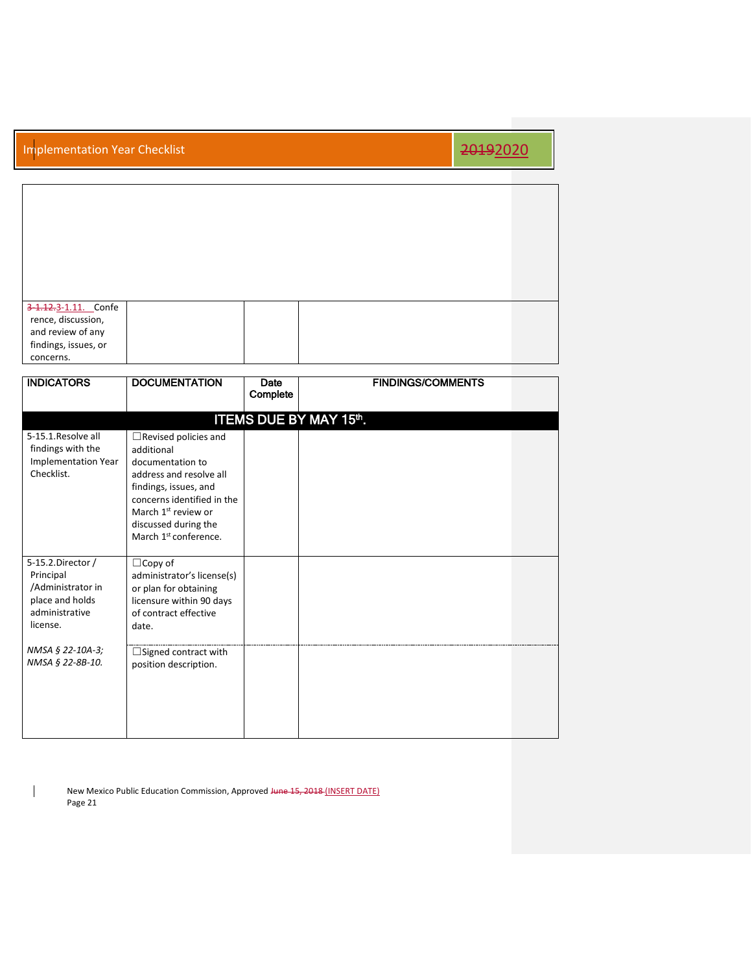| 3-1.12.3-1.11. Confe |  |  |
|----------------------|--|--|
|                      |  |  |
| rence, discussion,   |  |  |
| and review of any    |  |  |
| findings, issues, or |  |  |
| concerns.            |  |  |

| <b>INDICATORS</b>                                                                                    | <b>DOCUMENTATION</b>                                                                                                                                                                                                                            | Date<br>Complete | <b>FINDINGS/COMMENTS</b> |  |  |  |
|------------------------------------------------------------------------------------------------------|-------------------------------------------------------------------------------------------------------------------------------------------------------------------------------------------------------------------------------------------------|------------------|--------------------------|--|--|--|
| <b>ITEMS DUE BY MAY 15th.</b>                                                                        |                                                                                                                                                                                                                                                 |                  |                          |  |  |  |
| 5-15.1. Resolve all<br>findings with the<br>Implementation Year<br>Checklist.                        | $\Box$ Revised policies and<br>additional<br>documentation to<br>address and resolve all<br>findings, issues, and<br>concerns identified in the<br>March 1 <sup>st</sup> review or<br>discussed during the<br>March 1 <sup>st</sup> conference. |                  |                          |  |  |  |
| 5-15.2.Director /<br>Principal<br>/Administrator in<br>place and holds<br>administrative<br>license. | $\Box$ Copy of<br>administrator's license(s)<br>or plan for obtaining<br>licensure within 90 days<br>of contract effective<br>date.                                                                                                             |                  |                          |  |  |  |
| NMSA § 22-10A-3;<br>NMSA § 22-8B-10.                                                                 | $\Box$ Signed contract with<br>position description.                                                                                                                                                                                            |                  |                          |  |  |  |

New Mexico Public Education Commission, Approved Hune 15, 2018 (INSERT DATE) Page 21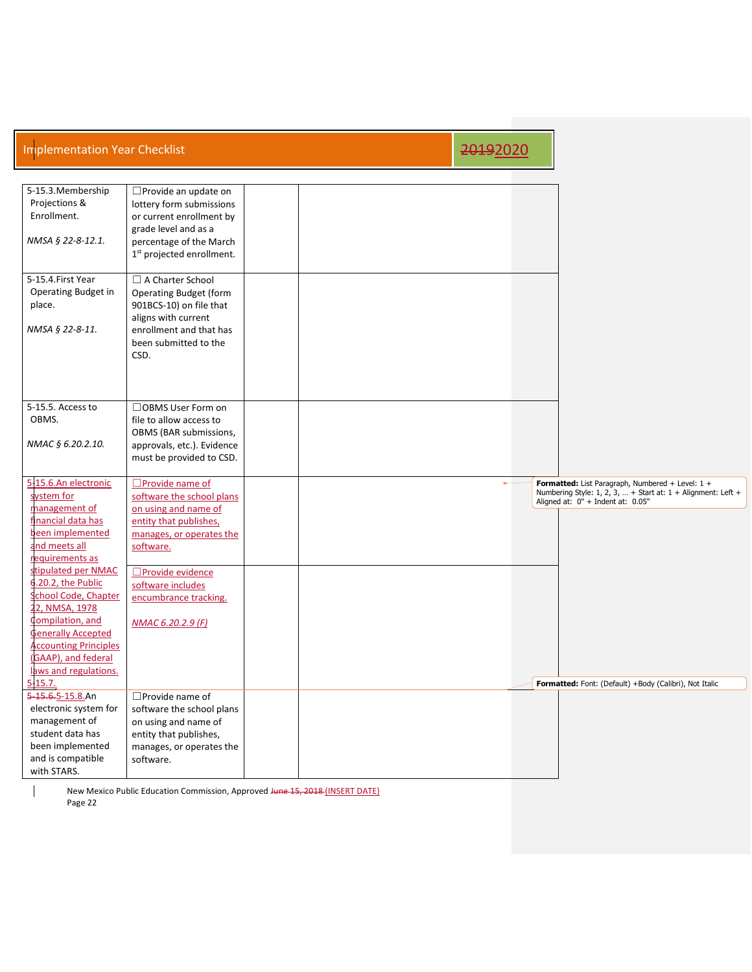| <b>Implementation Year Checklist</b>                                                                                                                                                                                                                                                                                                                                         |                                                                                                                                                                                                                                        | 20192020 |                                                                                                                                                                                                                   |
|------------------------------------------------------------------------------------------------------------------------------------------------------------------------------------------------------------------------------------------------------------------------------------------------------------------------------------------------------------------------------|----------------------------------------------------------------------------------------------------------------------------------------------------------------------------------------------------------------------------------------|----------|-------------------------------------------------------------------------------------------------------------------------------------------------------------------------------------------------------------------|
|                                                                                                                                                                                                                                                                                                                                                                              |                                                                                                                                                                                                                                        |          |                                                                                                                                                                                                                   |
| 5-15.3. Membership<br>Projections &<br>Enrollment.<br>NMSA § 22-8-12.1.                                                                                                                                                                                                                                                                                                      | $\square$ Provide an update on<br>lottery form submissions<br>or current enrollment by<br>grade level and as a<br>percentage of the March<br>1 <sup>st</sup> projected enrollment.                                                     |          |                                                                                                                                                                                                                   |
| 5-15.4. First Year<br><b>Operating Budget in</b><br>place.<br>NMSA § 22-8-11.                                                                                                                                                                                                                                                                                                | $\Box$ A Charter School<br>Operating Budget (form<br>901BCS-10) on file that<br>aligns with current<br>enrollment and that has<br>been submitted to the<br>CSD.                                                                        |          |                                                                                                                                                                                                                   |
| 5-15.5. Access to<br>OBMS.<br>NMAC § 6.20.2.10.                                                                                                                                                                                                                                                                                                                              | □OBMS User Form on<br>file to allow access to<br>OBMS (BAR submissions,<br>approvals, etc.). Evidence<br>must be provided to CSD.                                                                                                      |          |                                                                                                                                                                                                                   |
| 5-15.6.An electronic<br>system for<br>management of<br>financial data has<br>been implemented<br>nd meets all<br>requirements as<br>stipulated per NMAC<br>.20.2, the Public<br>chool Code, Chapter<br>2, NMSA, 1978<br><b>Compilation</b> , and<br><b>Generally Accepted</b><br><b>Accounting Principles</b><br>(GAAP), and federal<br>laws and regulations.<br>$5 - 15.7.$ | $\Box$ Provide name of<br>software the school plans<br>on using and name of<br>entity that publishes,<br>manages, or operates the<br>software.<br>□Provide evidence<br>software includes<br>encumbrance tracking.<br>NMAC 6.20.2.9 (F) |          | Formatted: List Paragraph, Numbered + Level: 1 +<br>Numbering Style: 1, 2, 3,  + Start at: $1 +$ Alignment: Left +<br>Aligned at: 0" + Indent at: 0.05"<br>Formatted: Font: (Default) +Body (Calibri), Not Italic |
| 5-15.6.5-15.8.An<br>electronic system for<br>management of<br>student data has<br>been implemented<br>and is compatible<br>with STARS.                                                                                                                                                                                                                                       | $\square$ Provide name of<br>software the school plans<br>on using and name of<br>entity that publishes,<br>manages, or operates the<br>software.                                                                                      |          |                                                                                                                                                                                                                   |

New Mexico Public Education Commission, Approved Hune 15, 2018 (INSERT DATE) Page 22

 $\overline{\phantom{a}}$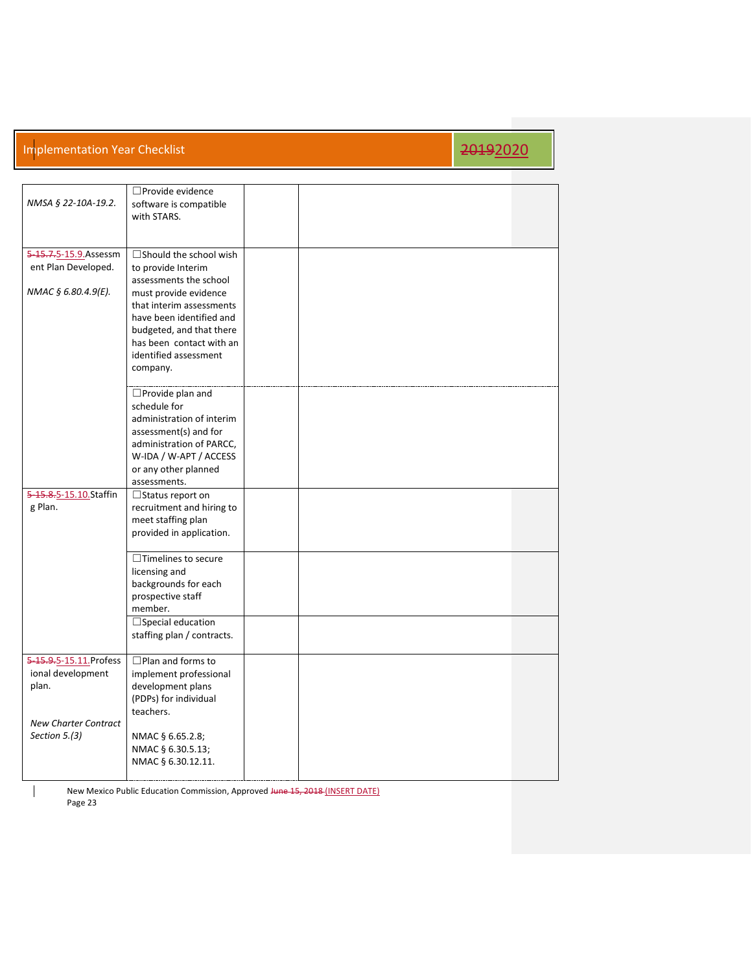| NMSA § 22-10A-19.2.         | □ Provide evidence<br>software is compatible<br>with STARS. |  |  |
|-----------------------------|-------------------------------------------------------------|--|--|
|                             |                                                             |  |  |
| 5-15.7.5-15.9.Assessm       | $\Box$ Should the school wish                               |  |  |
| ent Plan Developed.         | to provide Interim                                          |  |  |
|                             | assessments the school                                      |  |  |
| NMAC § 6.80.4.9(E).         | must provide evidence                                       |  |  |
|                             | that interim assessments                                    |  |  |
|                             | have been identified and                                    |  |  |
|                             | budgeted, and that there                                    |  |  |
|                             | has been contact with an                                    |  |  |
|                             | identified assessment                                       |  |  |
|                             | company.                                                    |  |  |
|                             |                                                             |  |  |
|                             | $\Box$ Provide plan and                                     |  |  |
|                             | schedule for                                                |  |  |
|                             | administration of interim                                   |  |  |
|                             | assessment(s) and for                                       |  |  |
|                             | administration of PARCC,                                    |  |  |
|                             | W-IDA / W-APT / ACCESS                                      |  |  |
|                             | or any other planned                                        |  |  |
|                             | assessments.                                                |  |  |
| 5-15.8.5-15.10.Staffin      | $\Box$ Status report on                                     |  |  |
| g Plan.                     | recruitment and hiring to                                   |  |  |
|                             | meet staffing plan                                          |  |  |
|                             | provided in application.                                    |  |  |
|                             | $\overline{\Box}$ Timelines to secure                       |  |  |
|                             | licensing and                                               |  |  |
|                             | backgrounds for each                                        |  |  |
|                             | prospective staff                                           |  |  |
|                             | member.                                                     |  |  |
|                             | $\Box$ Special education                                    |  |  |
|                             | staffing plan / contracts.                                  |  |  |
|                             |                                                             |  |  |
| 5-15.9.5-15.11. Profess     | □ Plan and forms to                                         |  |  |
| ional development           | implement professional                                      |  |  |
| plan.                       | development plans                                           |  |  |
|                             | (PDPs) for individual                                       |  |  |
|                             | teachers.                                                   |  |  |
| <b>New Charter Contract</b> |                                                             |  |  |
| Section 5.(3)               | NMAC § 6.65.2.8;                                            |  |  |
|                             | NMAC § 6.30.5.13;                                           |  |  |
|                             | NMAC § 6.30.12.11.                                          |  |  |
|                             |                                                             |  |  |

New Mexico Public Education Commission, Approved Hune 15, 2018 (INSERT DATE) Page 23

 $\overline{\phantom{a}}$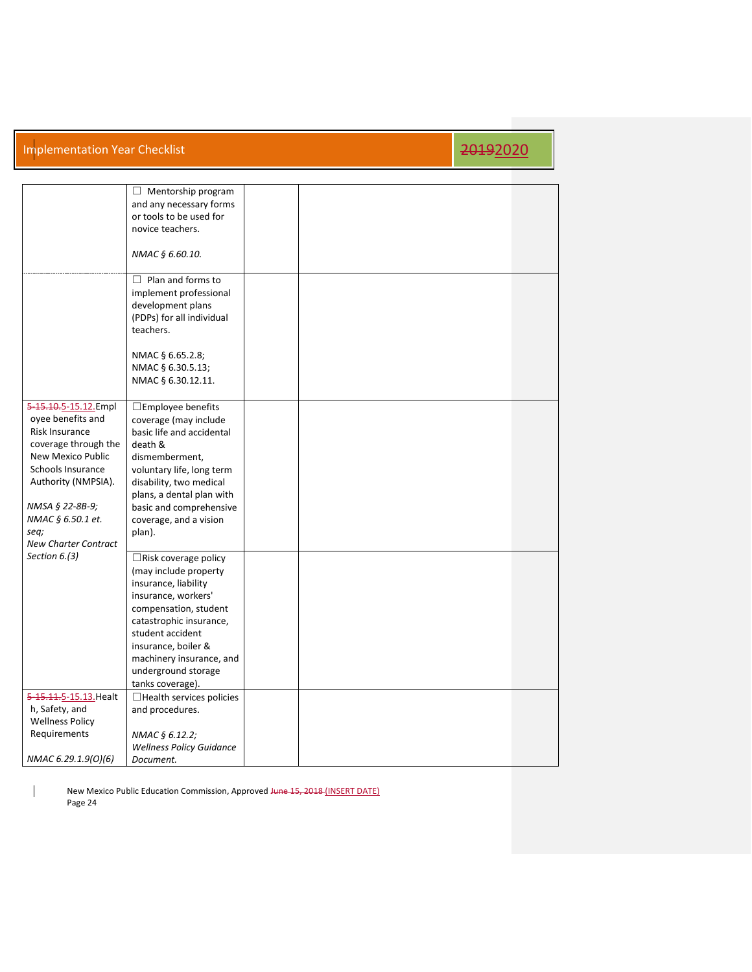|                                           | $\Box$ Mentorship program<br>and any necessary forms<br>or tools to be used for |  |  |
|-------------------------------------------|---------------------------------------------------------------------------------|--|--|
|                                           | novice teachers.                                                                |  |  |
|                                           | NMAC § 6.60.10.                                                                 |  |  |
|                                           | $\Box$ Plan and forms to<br>implement professional                              |  |  |
|                                           | development plans                                                               |  |  |
|                                           | (PDPs) for all individual                                                       |  |  |
|                                           | teachers.                                                                       |  |  |
|                                           |                                                                                 |  |  |
|                                           | NMAC § 6.65.2.8;                                                                |  |  |
|                                           | NMAC § 6.30.5.13;                                                               |  |  |
|                                           | NMAC § 6.30.12.11.                                                              |  |  |
| 5-15.10.5-15.12.Empl                      | $\square$ Employee benefits                                                     |  |  |
| oyee benefits and                         | coverage (may include                                                           |  |  |
| Risk Insurance                            | basic life and accidental                                                       |  |  |
| coverage through the<br>New Mexico Public | death &                                                                         |  |  |
| Schools Insurance                         | dismemberment,                                                                  |  |  |
| Authority (NMPSIA).                       | voluntary life, long term<br>disability, two medical                            |  |  |
|                                           | plans, a dental plan with                                                       |  |  |
| NMSA § 22-8B-9;                           | basic and comprehensive                                                         |  |  |
| NMAC § 6.50.1 et.                         | coverage, and a vision                                                          |  |  |
| seq;                                      | plan).                                                                          |  |  |
| <b>New Charter Contract</b>               |                                                                                 |  |  |
| Section $6.(3)$                           | $\Box$ Risk coverage policy                                                     |  |  |
|                                           | (may include property                                                           |  |  |
|                                           | insurance, liability                                                            |  |  |
|                                           | insurance, workers'                                                             |  |  |
|                                           | compensation, student<br>catastrophic insurance,                                |  |  |
|                                           | student accident                                                                |  |  |
|                                           | insurance, boiler &                                                             |  |  |
|                                           | machinery insurance, and                                                        |  |  |
|                                           | underground storage                                                             |  |  |
|                                           | tanks coverage).                                                                |  |  |
| 5-15.11.5-15.13. Healt                    | $\Box$ Health services policies                                                 |  |  |
| h, Safety, and                            | and procedures.                                                                 |  |  |
| <b>Wellness Policy</b>                    |                                                                                 |  |  |
| Requirements                              | NMAC § 6.12.2;                                                                  |  |  |
|                                           | <b>Wellness Policy Guidance</b>                                                 |  |  |
| NMAC 6.29.1.9(0)(6)                       | Document.                                                                       |  |  |

New Mexico Public Education Commission, Approved Hune 15, 2018 (INSERT DATE) Page 24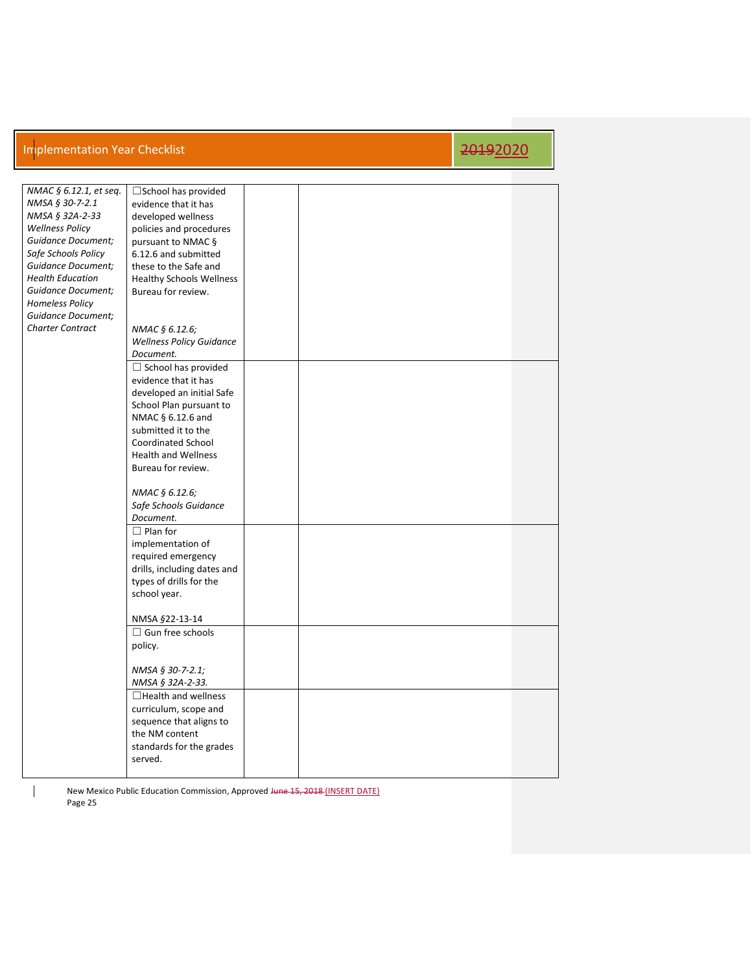| NMAC § 6.12.1, et seq.    | $\square$ School has provided   |  |  |
|---------------------------|---------------------------------|--|--|
| NMSA § 30-7-2.1           | evidence that it has            |  |  |
| NMSA § 32A-2-33           | developed wellness              |  |  |
|                           |                                 |  |  |
| <b>Wellness Policy</b>    | policies and procedures         |  |  |
| <b>Guidance Document;</b> | pursuant to NMAC §              |  |  |
| Safe Schools Policy       | 6.12.6 and submitted            |  |  |
| <b>Guidance Document;</b> | these to the Safe and           |  |  |
| <b>Health Education</b>   | <b>Healthy Schools Wellness</b> |  |  |
| <b>Guidance Document;</b> | Bureau for review.              |  |  |
|                           |                                 |  |  |
| <b>Homeless Policy</b>    |                                 |  |  |
| <b>Guidance Document;</b> |                                 |  |  |
| <b>Charter Contract</b>   | NMAC § 6.12.6;                  |  |  |
|                           | <b>Wellness Policy Guidance</b> |  |  |
|                           | Document.                       |  |  |
|                           | $\Box$ School has provided      |  |  |
|                           |                                 |  |  |
|                           | evidence that it has            |  |  |
|                           | developed an initial Safe       |  |  |
|                           | School Plan pursuant to         |  |  |
|                           | NMAC § 6.12.6 and               |  |  |
|                           | submitted it to the             |  |  |
|                           | <b>Coordinated School</b>       |  |  |
|                           |                                 |  |  |
|                           | <b>Health and Wellness</b>      |  |  |
|                           | Bureau for review.              |  |  |
|                           |                                 |  |  |
|                           | NMAC § 6.12.6;                  |  |  |
|                           | Safe Schools Guidance           |  |  |
|                           | Document.                       |  |  |
|                           | $\Box$ Plan for                 |  |  |
|                           |                                 |  |  |
|                           | implementation of               |  |  |
|                           | required emergency              |  |  |
|                           | drills, including dates and     |  |  |
|                           | types of drills for the         |  |  |
|                           | school year.                    |  |  |
|                           |                                 |  |  |
|                           | NMSA §22-13-14                  |  |  |
|                           |                                 |  |  |
|                           | $\Box$ Gun free schools         |  |  |
|                           | policy.                         |  |  |
|                           |                                 |  |  |
|                           | NMSA § 30-7-2.1;                |  |  |
|                           | NMSA § 32A-2-33.                |  |  |
|                           | $\Box$ Health and wellness      |  |  |
|                           |                                 |  |  |
|                           | curriculum, scope and           |  |  |
|                           | sequence that aligns to         |  |  |
|                           | the NM content                  |  |  |
|                           | standards for the grades        |  |  |
|                           | served.                         |  |  |
|                           |                                 |  |  |
|                           |                                 |  |  |

New Mexico Public Education Commission, Approved Hune 15, 2018 (INSERT DATE) Page 25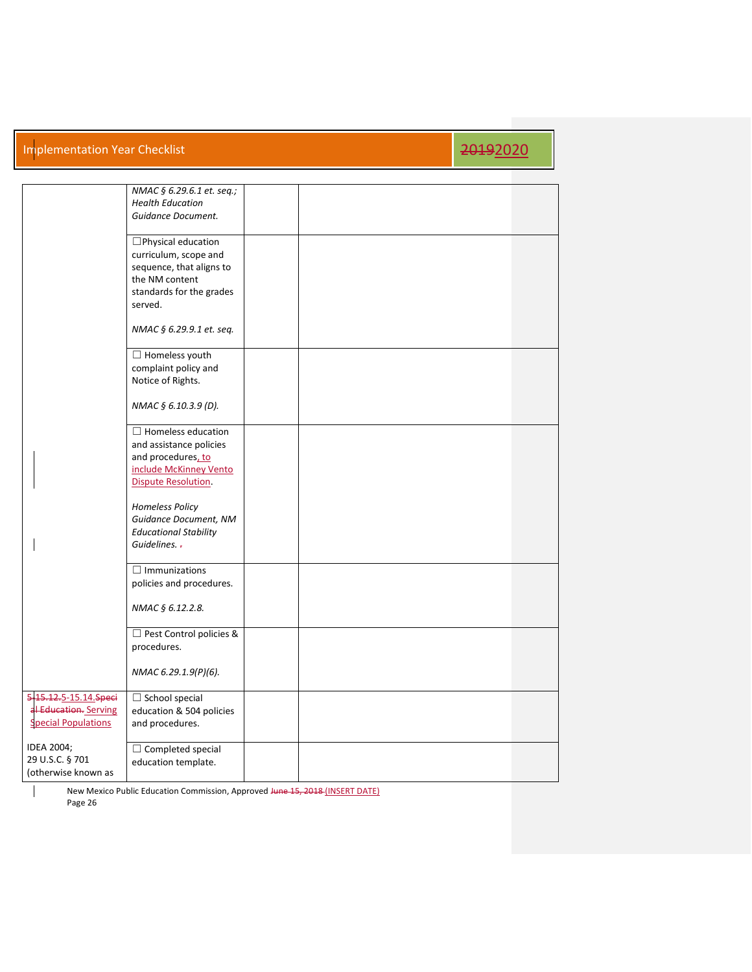## Implementation Year Checklist 2019 2019 2019 12:00 12:00 12:00 12:00 12:00 12:00 12:00 12:00 12:00 12:00 12:00

|                                                                              | NMAC § 6.29.6.1 et. seq.;<br><b>Health Education</b><br>Guidance Document.                                                         |  |  |
|------------------------------------------------------------------------------|------------------------------------------------------------------------------------------------------------------------------------|--|--|
|                                                                              | □Physical education<br>curriculum, scope and<br>sequence, that aligns to<br>the NM content<br>standards for the grades<br>served.  |  |  |
|                                                                              | NMAC § 6.29.9.1 et. seq.                                                                                                           |  |  |
|                                                                              | $\Box$ Homeless youth<br>complaint policy and<br>Notice of Rights.                                                                 |  |  |
|                                                                              | NMAC § 6.10.3.9 (D).                                                                                                               |  |  |
|                                                                              | $\Box$ Homeless education<br>and assistance policies<br>and procedures, to<br>include McKinney Vento<br><b>Dispute Resolution.</b> |  |  |
|                                                                              | <b>Homeless Policy</b><br>Guidance Document, NM<br><b>Educational Stability</b><br>Guidelines. -                                   |  |  |
|                                                                              | $\Box$ Immunizations<br>policies and procedures.                                                                                   |  |  |
|                                                                              | NMAC § 6.12.2.8.                                                                                                                   |  |  |
|                                                                              | □ Pest Control policies &<br>procedures.                                                                                           |  |  |
|                                                                              | NMAC 6.29.1.9(P)(6).                                                                                                               |  |  |
| 5-15.12.5-15.14.Speci<br>al Education. Serving<br><b>Special Populations</b> | $\Box$ School special<br>education & 504 policies<br>and procedures.                                                               |  |  |
| IDEA 2004;<br>29 U.S.C. § 701<br>(otherwise known as                         | $\Box$ Completed special<br>education template.                                                                                    |  |  |

New Mexico Public Education Commission, Approved Hune 15, 2018 (INSERT DATE) Page 26

 $\overline{\phantom{a}}$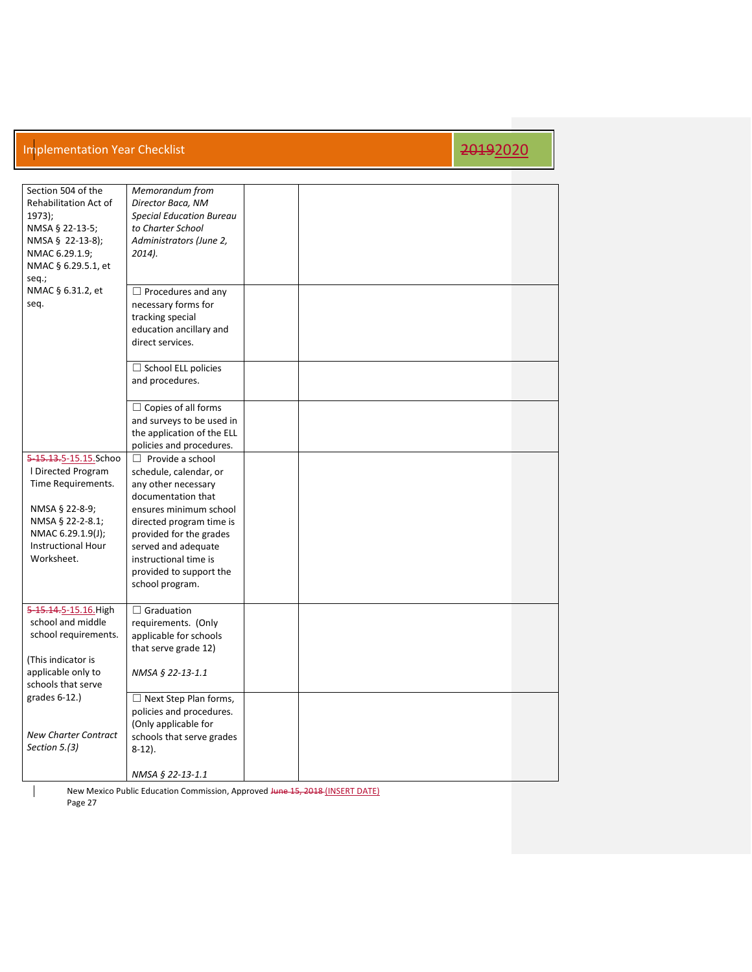| Section 504 of the<br>Rehabilitation Act of<br>$1973$ :<br>NMSA § 22-13-5;<br>NMSA § 22-13-8);<br>NMAC 6.29.1.9;<br>NMAC § 6.29.5.1, et<br>seq.;                        | Memorandum from<br>Director Baca, NM<br><b>Special Education Bureau</b><br>to Charter School<br>Administrators (June 2,<br>2014).                                                                                                                                             |  |  |  |
|-------------------------------------------------------------------------------------------------------------------------------------------------------------------------|-------------------------------------------------------------------------------------------------------------------------------------------------------------------------------------------------------------------------------------------------------------------------------|--|--|--|
| NMAC § 6.31.2, et<br>seq.                                                                                                                                               | $\Box$ Procedures and any<br>necessary forms for<br>tracking special<br>education ancillary and<br>direct services.                                                                                                                                                           |  |  |  |
|                                                                                                                                                                         | $\Box$ School ELL policies<br>and procedures.                                                                                                                                                                                                                                 |  |  |  |
|                                                                                                                                                                         | $\Box$ Copies of all forms<br>and surveys to be used in<br>the application of the ELL<br>policies and procedures.                                                                                                                                                             |  |  |  |
| 5-15.13.5-15.15.Schoo<br>I Directed Program<br>Time Requirements.<br>NMSA § 22-8-9;<br>NMSA § 22-2-8.1;<br>NMAC 6.29.1.9(J);<br><b>Instructional Hour</b><br>Worksheet. | $\Box$ Provide a school<br>schedule, calendar, or<br>any other necessary<br>documentation that<br>ensures minimum school<br>directed program time is<br>provided for the grades<br>served and adequate<br>instructional time is<br>provided to support the<br>school program. |  |  |  |
| 5-15.14.5-15.16. High<br>school and middle<br>school requirements.<br>(This indicator is<br>applicable only to<br>schools that serve                                    | $\Box$ Graduation<br>requirements. (Only<br>applicable for schools<br>that serve grade 12)<br>NMSA § 22-13-1.1                                                                                                                                                                |  |  |  |
| grades 6-12.)<br><b>New Charter Contract</b><br>Section 5.(3)                                                                                                           | $\Box$ Next Step Plan forms,<br>policies and procedures.<br>(Only applicable for<br>schools that serve grades<br>$8-12$ ).<br>NMSA § 22-13-1.1                                                                                                                                |  |  |  |
|                                                                                                                                                                         |                                                                                                                                                                                                                                                                               |  |  |  |

New Mexico Public Education Commission, Approved Hune 15, 2018 (INSERT DATE) Page 27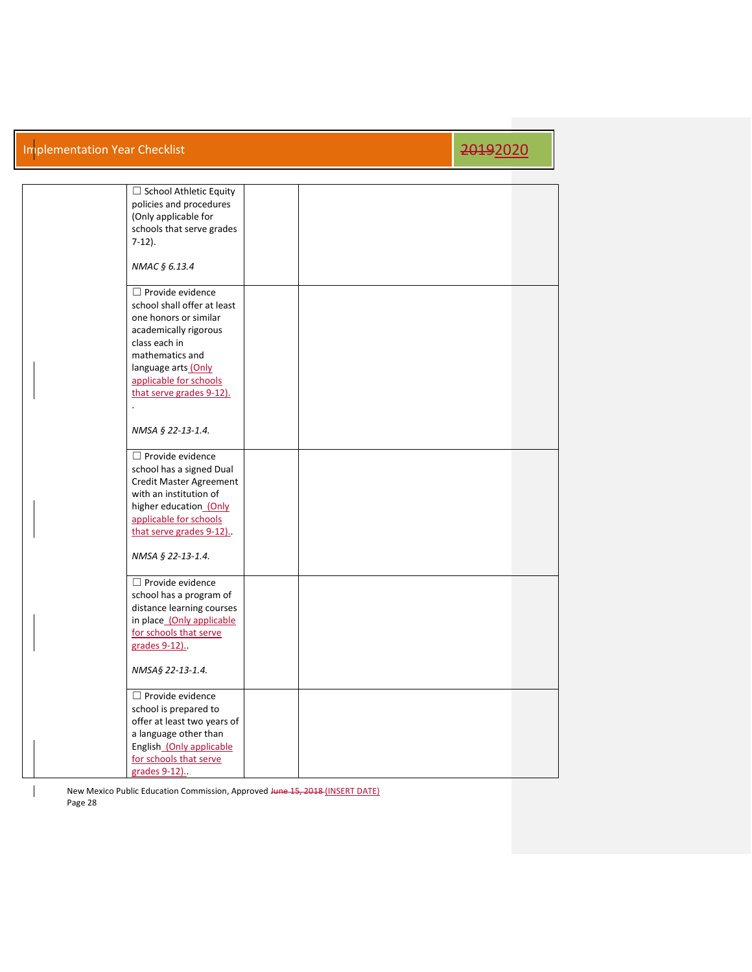| $\Box$ School Athletic Equity<br>policies and procedures<br>(Only applicable for<br>schools that serve grades<br>$7-12$ ).<br>NMAC § 6.13.4                                                                                                                            |  |  |
|------------------------------------------------------------------------------------------------------------------------------------------------------------------------------------------------------------------------------------------------------------------------|--|--|
| $\Box$ Provide evidence<br>school shall offer at least<br>one honors or similar<br>academically rigorous<br>class each in<br>mathematics and<br>language arts (Only<br>applicable for schools<br>that serve grades 9-12).<br>$\ddot{\phantom{a}}$<br>NMSA § 22-13-1.4. |  |  |
| $\Box$ Provide evidence<br>school has a signed Dual<br>Credit Master Agreement<br>with an institution of<br>higher education (Only<br>applicable for schools<br>that serve grades 9-12)<br>NMSA § 22-13-1.4.                                                           |  |  |
| $\Box$ Provide evidence<br>school has a program of<br>distance learning courses<br>in place_(Only applicable<br>for schools that serve<br>grades 9-12).<br>NMSA§ 22-13-1.4.                                                                                            |  |  |
| $\Box$ Provide evidence<br>school is prepared to<br>offer at least two years of<br>a language other than<br>English_(Only applicable<br>for schools that serve<br>grades 9-12).                                                                                        |  |  |

New Mexico Public Education Commission, Approved Hune 15, 2018 (INSERT DATE) Page 28

 $\overline{\phantom{a}}$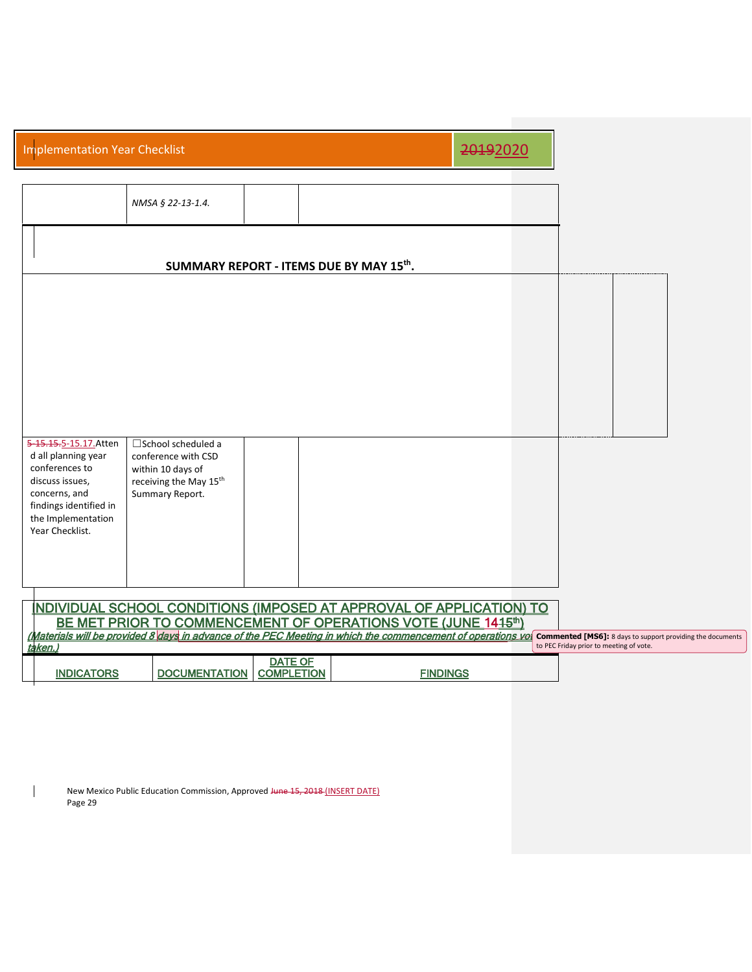| <b>Implementation Year Checklist</b>                                                                                                                                                                                                                                                    |                                         |                 | 20192020 |                                                                                                              |  |
|-----------------------------------------------------------------------------------------------------------------------------------------------------------------------------------------------------------------------------------------------------------------------------------------|-----------------------------------------|-----------------|----------|--------------------------------------------------------------------------------------------------------------|--|
| NMSA § 22-13-1.4.                                                                                                                                                                                                                                                                       |                                         |                 |          |                                                                                                              |  |
|                                                                                                                                                                                                                                                                                         | SUMMARY REPORT - ITEMS DUE BY MAY 15th. |                 |          |                                                                                                              |  |
|                                                                                                                                                                                                                                                                                         |                                         |                 |          |                                                                                                              |  |
|                                                                                                                                                                                                                                                                                         |                                         |                 |          |                                                                                                              |  |
|                                                                                                                                                                                                                                                                                         |                                         |                 |          |                                                                                                              |  |
| 5-15.15.5-15.17.Atten<br>$\square$ School scheduled a<br>d all planning year<br>conference with CSD<br>conferences to<br>within 10 days of<br>discuss issues,<br>receiving the May 15 <sup>th</sup><br>concerns, and<br>Summary Report.<br>findings identified in<br>the Implementation |                                         |                 |          |                                                                                                              |  |
| Year Checklist.<br>NDIVIDUAL SCHOOL CONDITIONS (IMPOSED AT APPROVAL OF APPLICATION) TO                                                                                                                                                                                                  |                                         |                 |          |                                                                                                              |  |
| BE MET PRIOR TO COMMENCEMENT OF OPERATIONS VOTE (JUNE 1415th)<br>(Materials will be provided 8 days in advance of the PEC Meeting in which the commencement of operations vol<br>taken.)                                                                                                |                                         |                 |          | <b>Commented [MS6]:</b> 8 days to support providing the documents<br>to PEC Friday prior to meeting of vote. |  |
| <b>DOCUMENTATION</b><br><b>INDICATORS</b>                                                                                                                                                                                                                                               | <b>DATE OF</b><br><b>COMPLETION</b>     | <b>FINDINGS</b> |          |                                                                                                              |  |

New Mexico Public Education Commission, Approved Hune 15, 2018 (INSERT DATE) Page 29

 $\begin{array}{c} \hline \end{array}$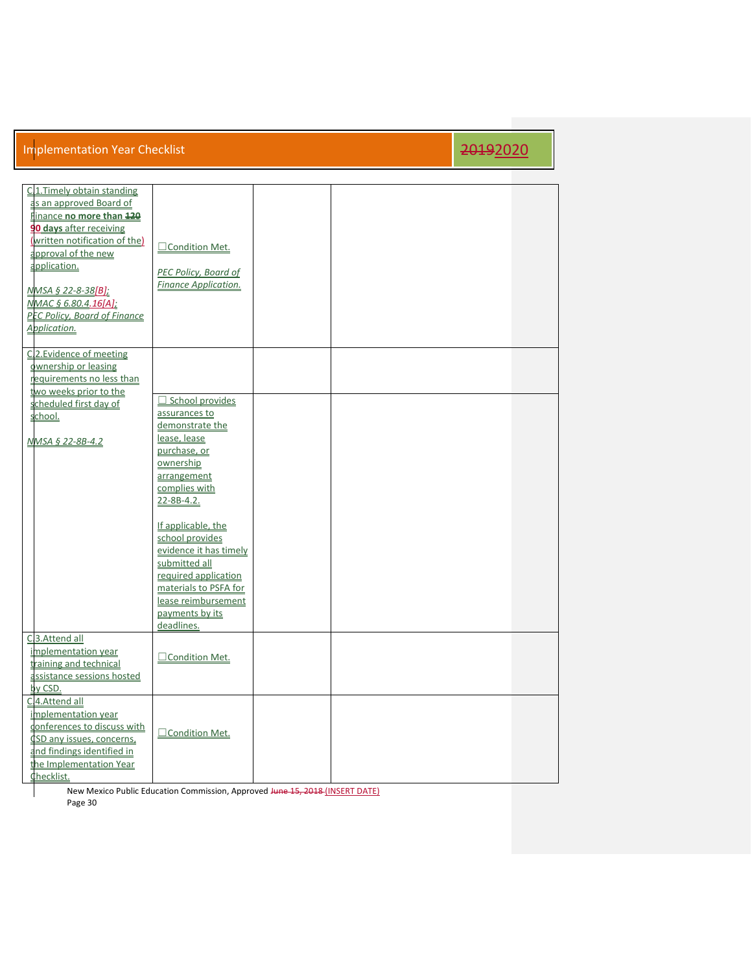| C.1. Timely obtain standing<br>as an approved Board of<br>Finance no more than 120<br>90 days after receiving<br>(written notification of the)<br>approval of the new<br>application.<br><u>NMSA § 22-8-38[B];</u><br>NMAC § 6.80.4.16[A];<br>PEC Policy, Board of Finance<br>Application. | □ Condition Met.<br><b>PEC Policy, Board of</b><br><b>Finance Application.</b>                                                                                                            |  |  |
|--------------------------------------------------------------------------------------------------------------------------------------------------------------------------------------------------------------------------------------------------------------------------------------------|-------------------------------------------------------------------------------------------------------------------------------------------------------------------------------------------|--|--|
| C.2. Evidence of meeting<br>ownership or leasing<br>requirements no less than<br>two weeks prior to the                                                                                                                                                                                    |                                                                                                                                                                                           |  |  |
| scheduled first day of<br>school.                                                                                                                                                                                                                                                          | $\Box$ School provides<br>assurances to<br>demonstrate the                                                                                                                                |  |  |
| NMSA § 22-8B-4.2                                                                                                                                                                                                                                                                           | lease, lease<br>purchase, or<br>ownership<br>arrangement<br>complies with<br>22-8B-4.2.                                                                                                   |  |  |
|                                                                                                                                                                                                                                                                                            | If applicable, the<br>school provides<br>evidence it has timely<br>submitted all<br>required application<br>materials to PSFA for<br>lease reimbursement<br>payments by its<br>deadlines. |  |  |
| C.3.Attend all<br>implementation year<br>training and technical<br>assistance sessions hosted<br>by CSD.                                                                                                                                                                                   | □Condition Met.                                                                                                                                                                           |  |  |
| C.4.Attend all<br>implementation year<br>onferences to discuss with<br>CSD any issues, concerns,<br>and findings identified in<br>the Implementation Year<br>Checklist.                                                                                                                    | □Condition Met.                                                                                                                                                                           |  |  |

New Mexico Public Education Commission, Approved Hune 15, 2018 (INSERT DATE) Page 30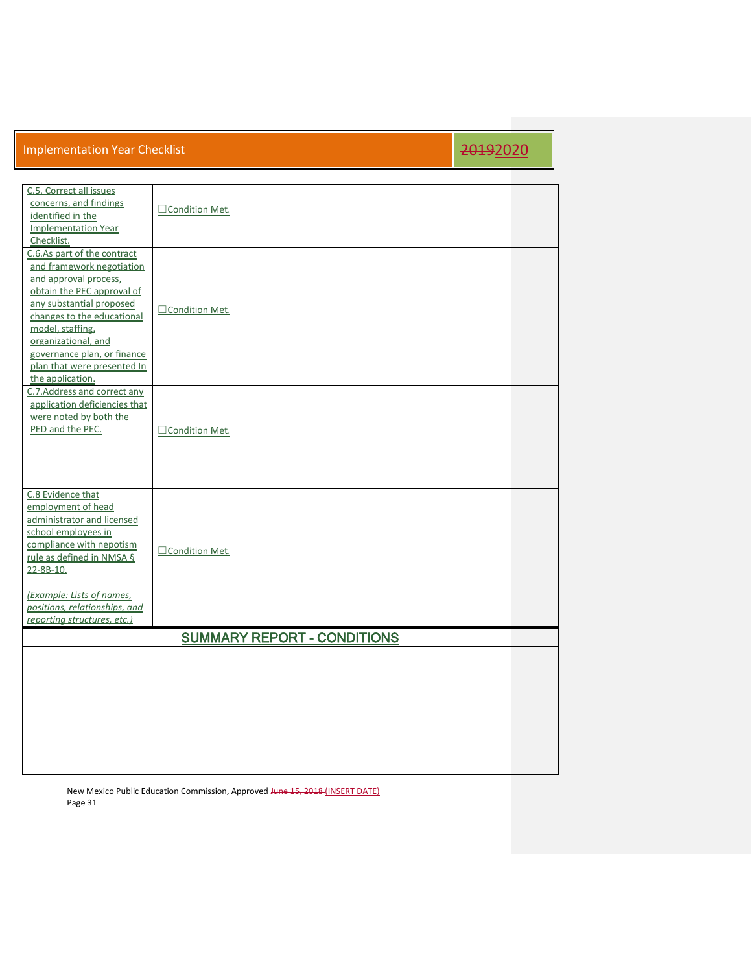| C.5. Correct all issues<br>concerns, and findings<br>identified in the<br>Implementation Year<br>Checklist.                                                                                                                                                                                            | □Condition Met.  |                                    |  |
|--------------------------------------------------------------------------------------------------------------------------------------------------------------------------------------------------------------------------------------------------------------------------------------------------------|------------------|------------------------------------|--|
| C.6.As part of the contract<br>and framework negotiation<br>and approval process,<br>obtain the PEC approval of<br>any substantial proposed<br>changes to the educational<br>model, staffing,<br>organizational, and<br>governance plan, or finance<br>plan that were presented In<br>the application. | □ Condition Met. |                                    |  |
| C.7.Address and correct any<br>application deficiencies that<br>were noted by both the<br>PED and the PEC.                                                                                                                                                                                             | □ Condition Met. |                                    |  |
| C.8 Evidence that<br>employment of head<br>administrator and licensed<br>school employees in<br>compliance with nepotism<br>rule as defined in NMSA §<br>22-8B-10.<br>(Example: Lists of names,<br>positions, relationships, and<br>reporting structures, etc.)                                        | Condition Met.   |                                    |  |
|                                                                                                                                                                                                                                                                                                        |                  | <b>SUMMARY REPORT - CONDITIONS</b> |  |
|                                                                                                                                                                                                                                                                                                        |                  |                                    |  |

New Mexico Public Education Commission, Approved Hune 15, 2018 (INSERT DATE) Page 31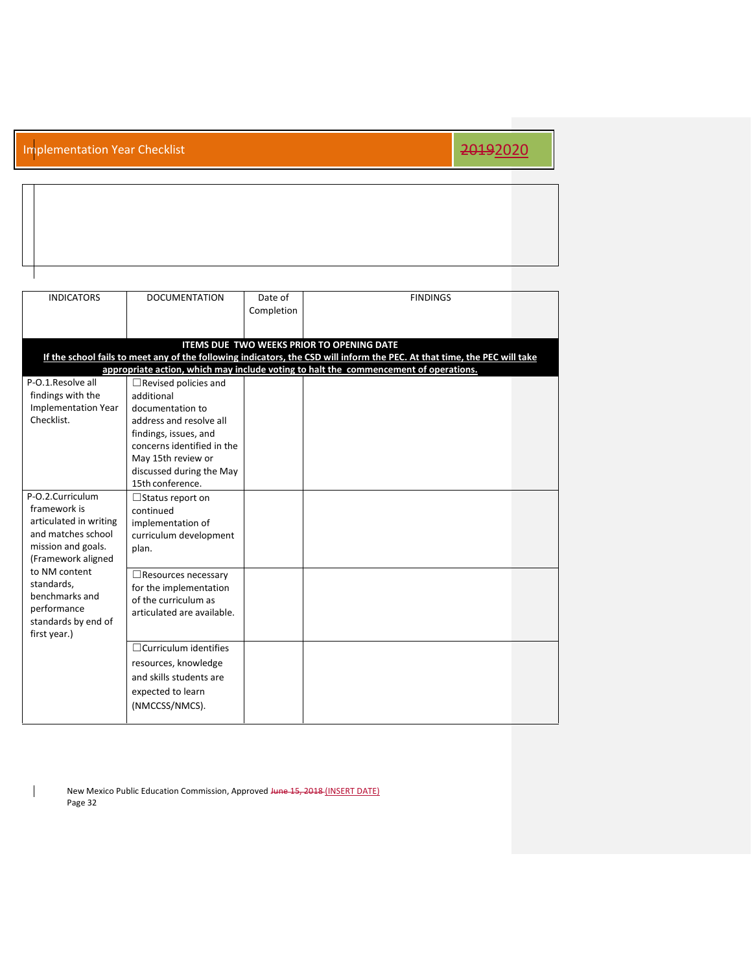| <b>INDICATORS</b>                   | <b>DOCUMENTATION</b>         | Date of    | <b>FINDINGS</b>                                                                                                           |  |
|-------------------------------------|------------------------------|------------|---------------------------------------------------------------------------------------------------------------------------|--|
|                                     |                              | Completion |                                                                                                                           |  |
|                                     |                              |            |                                                                                                                           |  |
|                                     |                              |            | <b>ITEMS DUE TWO WEEKS PRIOR TO OPENING DATE</b>                                                                          |  |
|                                     |                              |            | If the school fails to meet any of the following indicators, the CSD will inform the PEC. At that time, the PEC will take |  |
|                                     |                              |            | appropriate action, which may include voting to halt the commencement of operations.                                      |  |
| P-O.1.Resolve all                   | $\Box$ Revised policies and  |            |                                                                                                                           |  |
| findings with the                   | additional                   |            |                                                                                                                           |  |
| <b>Implementation Year</b>          | documentation to             |            |                                                                                                                           |  |
| Checklist.                          | address and resolve all      |            |                                                                                                                           |  |
|                                     | findings, issues, and        |            |                                                                                                                           |  |
|                                     | concerns identified in the   |            |                                                                                                                           |  |
|                                     | May 15th review or           |            |                                                                                                                           |  |
|                                     | discussed during the May     |            |                                                                                                                           |  |
|                                     | 15th conference.             |            |                                                                                                                           |  |
| P-O.2.Curriculum                    | □ Status report on           |            |                                                                                                                           |  |
| framework is                        | continued                    |            |                                                                                                                           |  |
| articulated in writing              | implementation of            |            |                                                                                                                           |  |
| and matches school                  | curriculum development       |            |                                                                                                                           |  |
| mission and goals.                  | plan.                        |            |                                                                                                                           |  |
| (Framework aligned<br>to NM content |                              |            |                                                                                                                           |  |
| standards,                          | $\Box$ Resources necessary   |            |                                                                                                                           |  |
| benchmarks and                      | for the implementation       |            |                                                                                                                           |  |
| performance                         | of the curriculum as         |            |                                                                                                                           |  |
| standards by end of                 | articulated are available.   |            |                                                                                                                           |  |
| first year.)                        |                              |            |                                                                                                                           |  |
|                                     | $\Box$ Curriculum identifies |            |                                                                                                                           |  |
|                                     | resources, knowledge         |            |                                                                                                                           |  |
|                                     | and skills students are      |            |                                                                                                                           |  |
|                                     | expected to learn            |            |                                                                                                                           |  |
|                                     |                              |            |                                                                                                                           |  |
|                                     | (NMCCSS/NMCS).               |            |                                                                                                                           |  |
|                                     |                              |            |                                                                                                                           |  |

New Mexico Public Education Commission, Approved Hune 15, 2018 (INSERT DATE) Page 32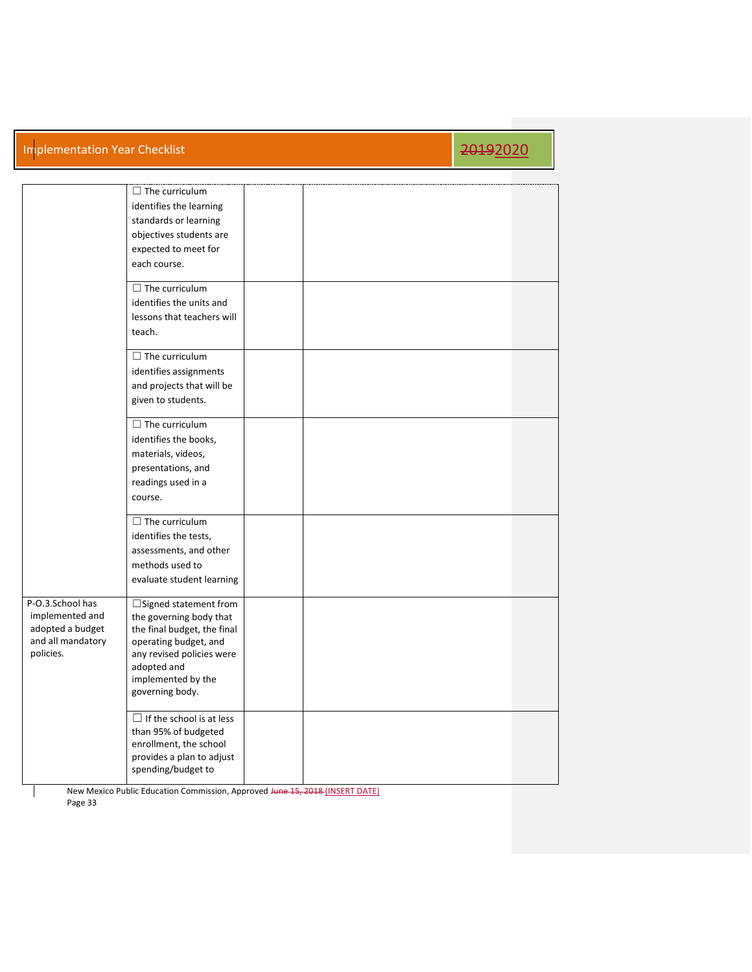|                                                                                           | $\Box$ The curriculum<br>identifies the learning<br>standards or learning<br>objectives students are<br>expected to meet for<br>each course.                                                         |  |  |  |
|-------------------------------------------------------------------------------------------|------------------------------------------------------------------------------------------------------------------------------------------------------------------------------------------------------|--|--|--|
|                                                                                           | $\Box$ The curriculum<br>identifies the units and<br>lessons that teachers will<br>teach.                                                                                                            |  |  |  |
|                                                                                           | $\Box$ The curriculum<br>identifies assignments<br>and projects that will be<br>given to students.                                                                                                   |  |  |  |
|                                                                                           | $\Box$ The curriculum<br>identifies the books,<br>materials, videos,<br>presentations, and<br>readings used in a<br>course.                                                                          |  |  |  |
|                                                                                           | $\Box$ The curriculum<br>identifies the tests,<br>assessments, and other<br>methods used to<br>evaluate student learning                                                                             |  |  |  |
| P-O.3.School has<br>implemented and<br>adopted a budget<br>and all mandatory<br>policies. | $\Box$ Signed statement from<br>the governing body that<br>the final budget, the final<br>operating budget, and<br>any revised policies were<br>adopted and<br>implemented by the<br>governing body. |  |  |  |
|                                                                                           | $\Box$ If the school is at less<br>than 95% of budgeted<br>enrollment, the school<br>provides a plan to adjust<br>spending/budget to                                                                 |  |  |  |

New Mexico Public Education Commission, Approved Hune 15, 2018 (INSERT DATE) Page 33

 $\overline{\phantom{a}}$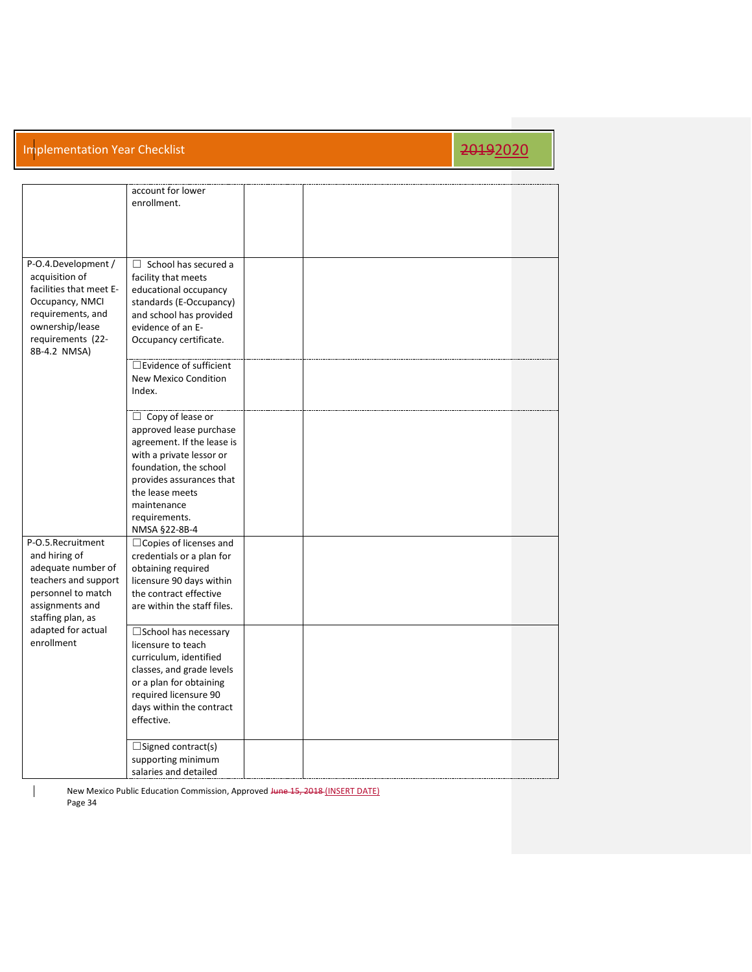|                         | account for lower             |  |  |
|-------------------------|-------------------------------|--|--|
|                         | enrollment.                   |  |  |
|                         |                               |  |  |
|                         |                               |  |  |
|                         |                               |  |  |
|                         |                               |  |  |
|                         |                               |  |  |
| P-O.4.Development /     | $\Box$ School has secured a   |  |  |
| acquisition of          | facility that meets           |  |  |
| facilities that meet E- | educational occupancy         |  |  |
| Occupancy, NMCI         | standards (E-Occupancy)       |  |  |
| requirements, and       | and school has provided       |  |  |
| ownership/lease         | evidence of an E-             |  |  |
| requirements (22-       | Occupancy certificate.        |  |  |
| 8B-4.2 NMSA)            |                               |  |  |
|                         | $\Box$ Evidence of sufficient |  |  |
|                         | <b>New Mexico Condition</b>   |  |  |
|                         | Index.                        |  |  |
|                         |                               |  |  |
|                         |                               |  |  |
|                         | $\Box$ Copy of lease or       |  |  |
|                         | approved lease purchase       |  |  |
|                         | agreement. If the lease is    |  |  |
|                         | with a private lessor or      |  |  |
|                         | foundation, the school        |  |  |
|                         | provides assurances that      |  |  |
|                         | the lease meets               |  |  |
|                         | maintenance                   |  |  |
|                         | requirements.                 |  |  |
|                         | NMSA §22-8B-4                 |  |  |
| P-O.5.Recruitment       | $\Box$ Copies of licenses and |  |  |
| and hiring of           | credentials or a plan for     |  |  |
| adequate number of      | obtaining required            |  |  |
| teachers and support    | licensure 90 days within      |  |  |
| personnel to match      | the contract effective        |  |  |
| assignments and         | are within the staff files.   |  |  |
| staffing plan, as       |                               |  |  |
| adapted for actual      | □ School has necessary        |  |  |
| enrollment              | licensure to teach            |  |  |
|                         |                               |  |  |
|                         | curriculum, identified        |  |  |
|                         | classes, and grade levels     |  |  |
|                         | or a plan for obtaining       |  |  |
|                         | required licensure 90         |  |  |
|                         | days within the contract      |  |  |
|                         | effective.                    |  |  |
|                         |                               |  |  |
|                         | $\Box$ Signed contract(s)     |  |  |
|                         | supporting minimum            |  |  |
|                         | salaries and detailed         |  |  |

New Mexico Public Education Commission, Approved Hune 15, 2018 (INSERT DATE) Page 34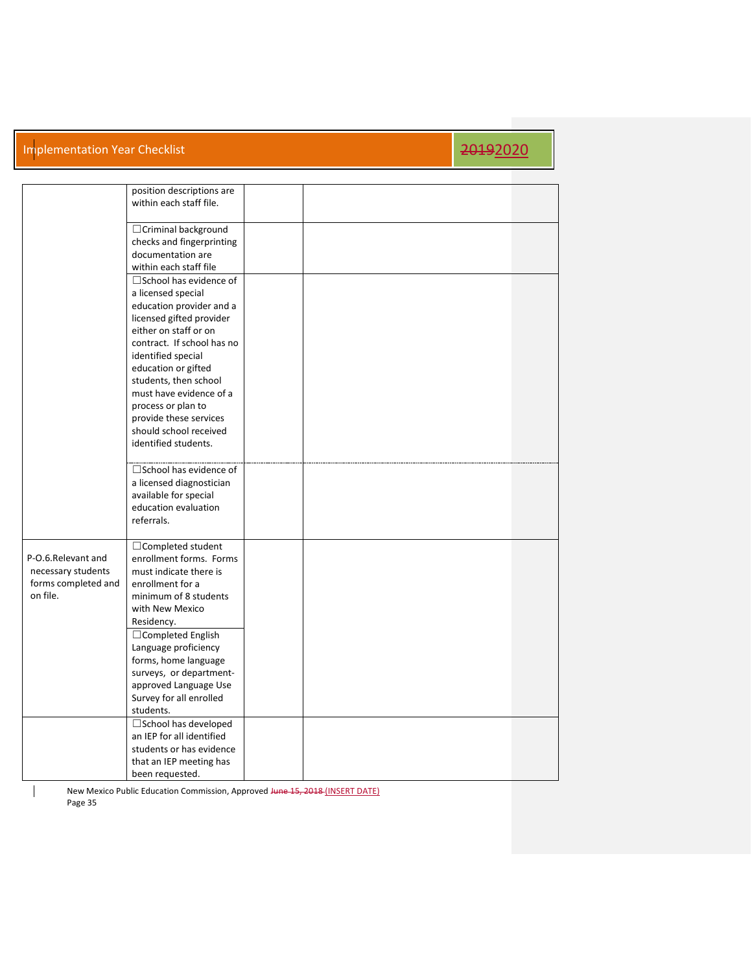### Implementation Year Checklist 2019 2019 2019 12:00 12:00 12:00 12:00 12:00 12:00 12:00 12:00 12:00 12:00 12:00

|                                                                             | position descriptions are<br>within each staff file.                                                                                                                                                                                                                                                                                             |  |  |  |
|-----------------------------------------------------------------------------|--------------------------------------------------------------------------------------------------------------------------------------------------------------------------------------------------------------------------------------------------------------------------------------------------------------------------------------------------|--|--|--|
|                                                                             | $\Box$ Criminal background<br>checks and fingerprinting<br>documentation are<br>within each staff file                                                                                                                                                                                                                                           |  |  |  |
|                                                                             | $\square$ School has evidence of<br>a licensed special<br>education provider and a<br>licensed gifted provider<br>either on staff or on<br>contract. If school has no<br>identified special<br>education or gifted<br>students, then school<br>must have evidence of a<br>process or plan to<br>provide these services<br>should school received |  |  |  |
|                                                                             | identified students.<br>□School has evidence of                                                                                                                                                                                                                                                                                                  |  |  |  |
|                                                                             | a licensed diagnostician<br>available for special<br>education evaluation<br>referrals.                                                                                                                                                                                                                                                          |  |  |  |
| P-O.6.Relevant and<br>necessary students<br>forms completed and<br>on file. | □ Completed student<br>enrollment forms. Forms<br>must indicate there is<br>enrollment for a<br>minimum of 8 students<br>with New Mexico<br>Residency.<br>□ Completed English<br>Language proficiency<br>forms, home language<br>surveys, or department-                                                                                         |  |  |  |
|                                                                             | approved Language Use<br>Survey for all enrolled<br>students.                                                                                                                                                                                                                                                                                    |  |  |  |
|                                                                             | □ School has developed<br>an IEP for all identified<br>students or has evidence<br>that an IEP meeting has<br>been requested.                                                                                                                                                                                                                    |  |  |  |

New Mexico Public Education Commission, Approved Hune 15, 2018 (INSERT DATE) Page 35

 $\perp$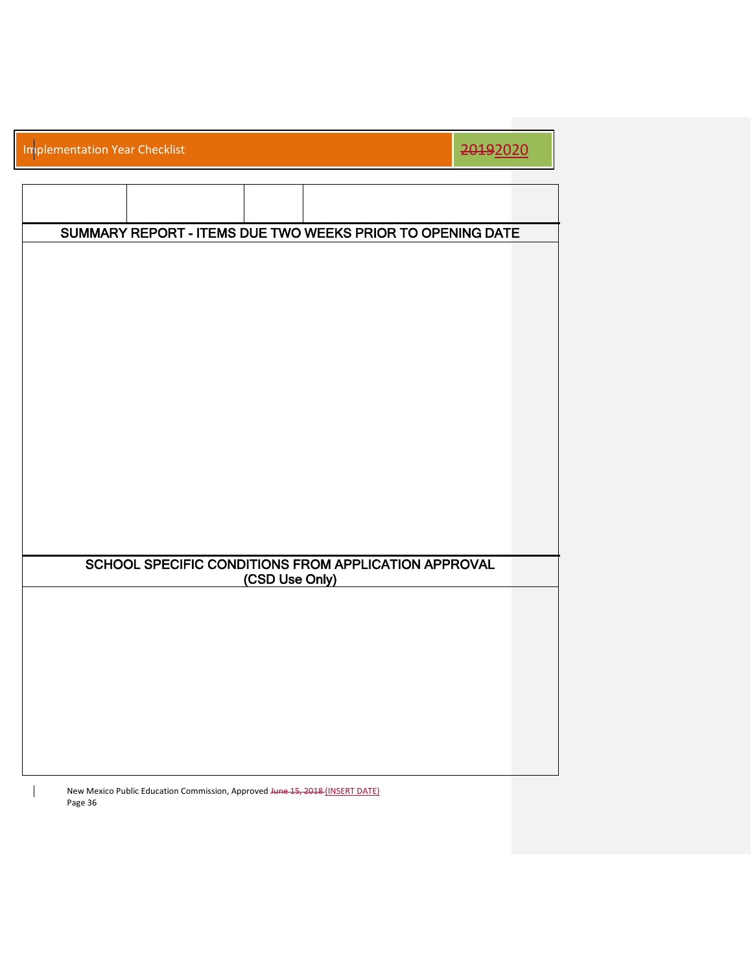|  |  | <b>Implementation Year Checklist</b> |
|--|--|--------------------------------------|
|  |  |                                      |

## 2019<sub>2020</sub>

|  |                                                      |                | SUMMARY REPORT - ITEMS DUE TWO WEEKS PRIOR TO OPENING DATE |  |
|--|------------------------------------------------------|----------------|------------------------------------------------------------|--|
|  |                                                      |                |                                                            |  |
|  |                                                      |                |                                                            |  |
|  |                                                      |                |                                                            |  |
|  |                                                      |                |                                                            |  |
|  |                                                      |                |                                                            |  |
|  |                                                      |                |                                                            |  |
|  |                                                      |                |                                                            |  |
|  |                                                      |                |                                                            |  |
|  |                                                      |                |                                                            |  |
|  |                                                      |                |                                                            |  |
|  |                                                      |                |                                                            |  |
|  |                                                      |                |                                                            |  |
|  | SCHOOL SPECIFIC CONDITIONS FROM APPLICATION APPROVAL | (CSD Use Only) |                                                            |  |
|  |                                                      |                |                                                            |  |
|  |                                                      |                |                                                            |  |
|  |                                                      |                |                                                            |  |
|  |                                                      |                |                                                            |  |
|  |                                                      |                |                                                            |  |
|  |                                                      |                |                                                            |  |
|  |                                                      |                |                                                            |  |

New Mexico Public Education Commission, Approved Hune 15, 2018 (INSERT DATE) Page 36